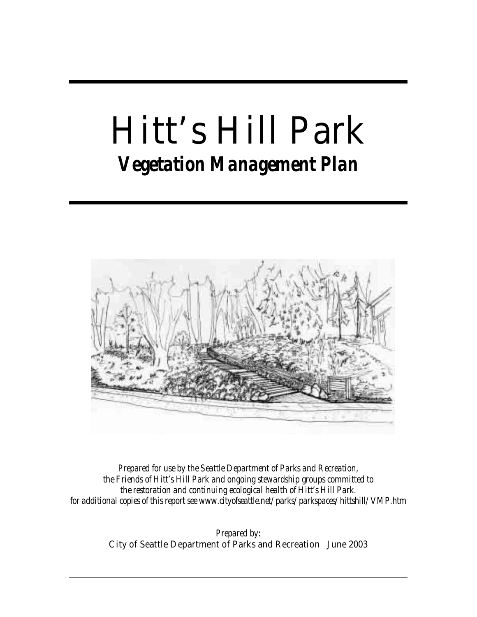#### Hitt's Hill Park *Vegetation Management Plan*



*Prepared for use by the Seattle Department of Parks and Recreation, the Friends of Hitt's Hill Park and ongoing stewardship groups committed to the restoration and continuing ecological health of Hitt's Hill Park. for additional copies of this report see www.cityofseattle.net/parks/parkspaces/hittshill/VMP.htm* 

> *Prepared by:*  City of Seattle Department of Parks and Recreation June 2003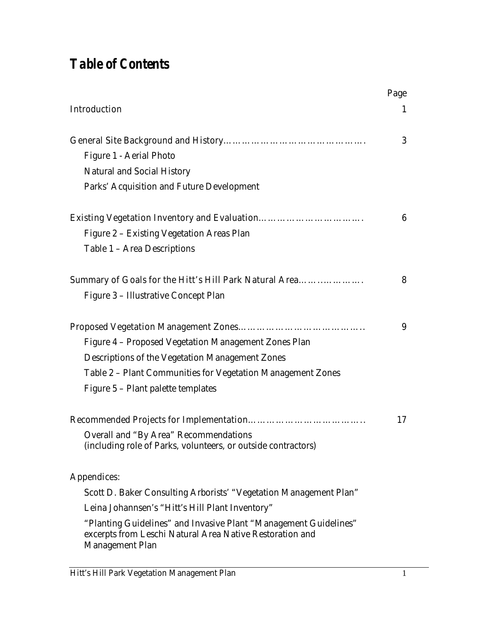#### *Table of Contents*

|                                                                                                                                                        | Page |
|--------------------------------------------------------------------------------------------------------------------------------------------------------|------|
| <b>Introduction</b>                                                                                                                                    | 1    |
|                                                                                                                                                        | 3    |
| <b>Figure 1 - Aerial Photo</b>                                                                                                                         |      |
| <b>Natural and Social History</b>                                                                                                                      |      |
| <b>Parks' Acquisition and Future Development</b>                                                                                                       |      |
| <b>Existing Vegetation Inventory and Evaluation</b>                                                                                                    | 6    |
| Figure 2 - Existing Vegetation Areas Plan                                                                                                              |      |
| Table 1 - Area Descriptions                                                                                                                            |      |
| Summary of Goals for the Hitt's Hill Park Natural Area                                                                                                 | 8    |
| Figure 3 - Illustrative Concept Plan                                                                                                                   |      |
|                                                                                                                                                        | 9    |
| Figure 4 - Proposed Vegetation Management Zones Plan                                                                                                   |      |
| <b>Descriptions of the Vegetation Management Zones</b>                                                                                                 |      |
| Table 2 - Plant Communities for Vegetation Management Zones                                                                                            |      |
| Figure 5 - Plant palette templates                                                                                                                     |      |
|                                                                                                                                                        | 17   |
| <b>Overall and "By Area" Recommendations</b><br>(including role of Parks, volunteers, or outside contractors)                                          |      |
| <b>Appendices:</b>                                                                                                                                     |      |
| Scott D. Baker Consulting Arborists' "Vegetation Management Plan"                                                                                      |      |
| Leina Johannsen's "Hitt's Hill Plant Inventory"                                                                                                        |      |
| "Planting Guidelines" and Invasive Plant "Management Guidelines"<br>excerpts from Leschi Natural Area Native Restoration and<br><b>Management Plan</b> |      |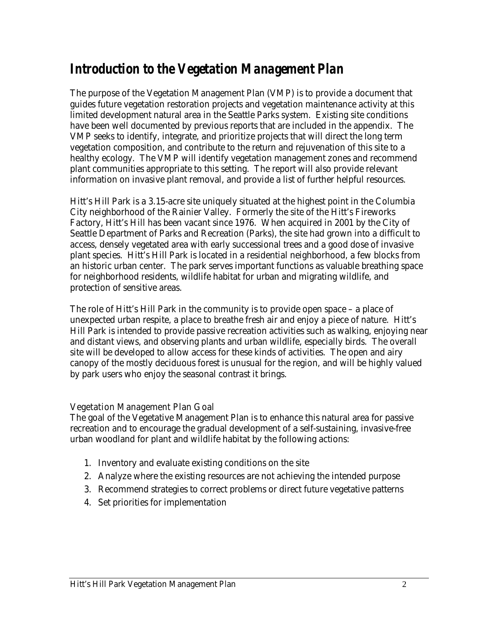#### *Introduction to the Vegetation Management Plan*

The purpose of the Vegetation Management Plan (VMP) is to provide a document that guides future vegetation restoration projects and vegetation maintenance activity at this limited development natural area in the Seattle Parks system. Existing site conditions have been well documented by previous reports that are included in the appendix. The VMP seeks to identify, integrate, and prioritize projects that will direct the long term vegetation composition, and contribute to the return and rejuvenation of this site to a healthy ecology. The VMP will identify vegetation management zones and recommend plant communities appropriate to this setting. The report will also provide relevant information on invasive plant removal, and provide a list of further helpful resources.

Hitt's Hill Park is a 3.15-acre site uniquely situated at the highest point in the Columbia City neighborhood of the Rainier Valley. Formerly the site of the Hitt's Fireworks Factory, Hitt's Hill has been vacant since 1976. When acquired in 2001 by the City of Seattle Department of Parks and Recreation (Parks), the site had grown into a difficult to access, densely vegetated area with early successional trees and a good dose of invasive plant species. Hitt's Hill Park is located in a residential neighborhood, a few blocks from an historic urban center. The park serves important functions as valuable breathing space for neighborhood residents, wildlife habitat for urban and migrating wildlife, and protection of sensitive areas.

The role of Hitt's Hill Park in the community is to provide open space – a place of unexpected urban respite, a place to breathe fresh air and enjoy a piece of nature. Hitt's Hill Park is intended to provide passive recreation activities such as walking, enjoying near and distant views, and observing plants and urban wildlife, especially birds. The overall site will be developed to allow access for these kinds of activities. The open and airy canopy of the mostly deciduous forest is unusual for the region, and will be highly valued by park users who enjoy the seasonal contrast it brings.

#### Vegetation Management Plan Goal

The goal of the Vegetative Management Plan is to enhance this natural area for passive recreation and to encourage the gradual development of a self-sustaining, invasive-free urban woodland for plant and wildlife habitat by the following actions:

- 1. Inventory and evaluate existing conditions on the site
- 2. Analyze where the existing resources are not achieving the intended purpose
- 3. Recommend strategies to correct problems or direct future vegetative patterns
- 4. Set priorities for implementation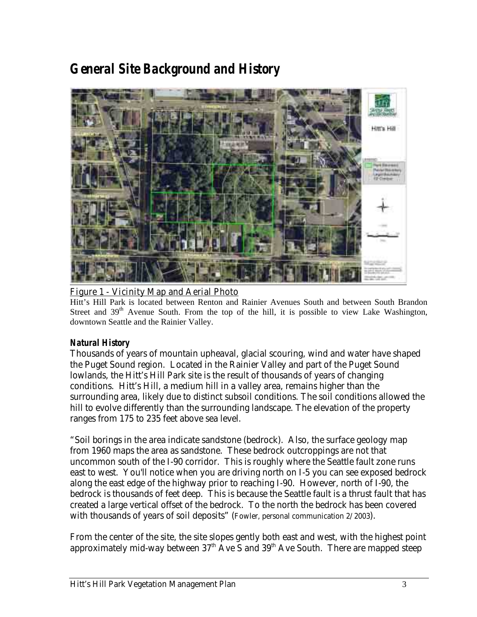#### *General Site Background and History*



#### Figure 1 - Vicinity Map and Aerial Photo

Hitt's Hill Park is located between Renton and Rainier Avenues South and between South Brandon Street and 39<sup>th</sup> Avenue South. From the top of the hill, it is possible to view Lake Washington, downtown Seattle and the Rainier Valley.

#### *Natural History*

Thousands of years of mountain upheaval, glacial scouring, wind and water have shaped the Puget Sound region. Located in the Rainier Valley and part of the Puget Sound lowlands, the Hitt's Hill Park site is the result of thousands of years of changing conditions. Hitt's Hill, a medium hill in a valley area, remains higher than the surrounding area, likely due to distinct subsoil conditions. The soil conditions allowed the hill to evolve differently than the surrounding landscape. The elevation of the property ranges from 175 to 235 feet above sea level.

"Soil borings in the area indicate sandstone (bedrock). Also, the surface geology map from 1960 maps the area as sandstone. These bedrock outcroppings are not that uncommon south of the I-90 corridor. This is roughly where the Seattle fault zone runs east to west. You'll notice when you are driving north on I-5 you can see exposed bedrock along the east edge of the highway prior to reaching I-90. However, north of I-90, the bedrock is thousands of feet deep. This is because the Seattle fault is a thrust fault that has created a large vertical offset of the bedrock. To the north the bedrock has been covered with thousands of years of soil deposits" (Fowler, personal communication 2/2003).

From the center of the site, the site slopes gently both east and west, with the highest point approximately mid-way between  $37<sup>th</sup>$  Ave S and  $39<sup>th</sup>$  Ave South. There are mapped steep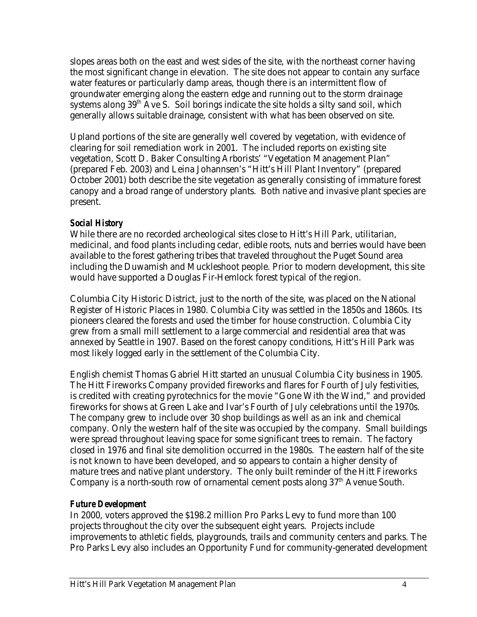slopes areas both on the east and west sides of the site, with the northeast corner having the most significant change in elevation. The site does not appear to contain any surface water features or particularly damp areas, though there is an intermittent flow of groundwater emerging along the eastern edge and running out to the storm drainage systems along  $39<sup>th</sup>$  Ave S. Soil borings indicate the site holds a silty sand soil, which generally allows suitable drainage, consistent with what has been observed on site.

Upland portions of the site are generally well covered by vegetation, with evidence of clearing for soil remediation work in 2001. The included reports on existing site vegetation, Scott D. Baker Consulting Arborists' "Vegetation Management Plan" (prepared Feb. 2003) and Leina Johannsen's "Hitt's Hill Plant Inventory" (prepared October 2001) both describe the site vegetation as generally consisting of immature forest canopy and a broad range of understory plants. Both native and invasive plant species are present.

#### *Social History*

While there are no recorded archeological sites close to Hitt's Hill Park, utilitarian, medicinal, and food plants including cedar, edible roots, nuts and berries would have been available to the forest gathering tribes that traveled throughout the Puget Sound area including the Duwamish and Muckleshoot people. Prior to modern development, this site would have supported a Douglas Fir-Hemlock forest typical of the region.

Columbia City Historic District, just to the north of the site, was placed on the National Register of Historic Places in 1980. Columbia City was settled in the 1850s and 1860s. Its pioneers cleared the forests and used the timber for house construction. Columbia City grew from a small mill settlement to a large commercial and residential area that was annexed by Seattle in 1907. Based on the forest canopy conditions, Hitt's Hill Park was most likely logged early in the settlement of the Columbia City.

English chemist Thomas Gabriel Hitt started an unusual Columbia City business in 1905. The Hitt Fireworks Company provided fireworks and flares for Fourth of July festivities, is credited with creating pyrotechnics for the movie "Gone With the Wind," and provided fireworks for shows at Green Lake and Ivar's Fourth of July celebrations until the 1970s. The company grew to include over 30 shop buildings as well as an ink and chemical company. Only the western half of the site was occupied by the company. Small buildings were spread throughout leaving space for some significant trees to remain. The factory closed in 1976 and final site demolition occurred in the 1980s. The eastern half of the site is not known to have been developed, and so appears to contain a higher density of mature trees and native plant understory. The only built reminder of the Hitt Fireworks Company is a north-south row of ornamental cement posts along  $37<sup>th</sup>$  Avenue South.

#### *Future Development*

In 2000, voters approved the \$198.2 million Pro Parks Levy to fund more than 100 projects throughout the city over the subsequent eight years. Projects include improvements to athletic fields, playgrounds, trails and community centers and parks. The Pro Parks Levy also includes an Opportunity Fund for community-generated development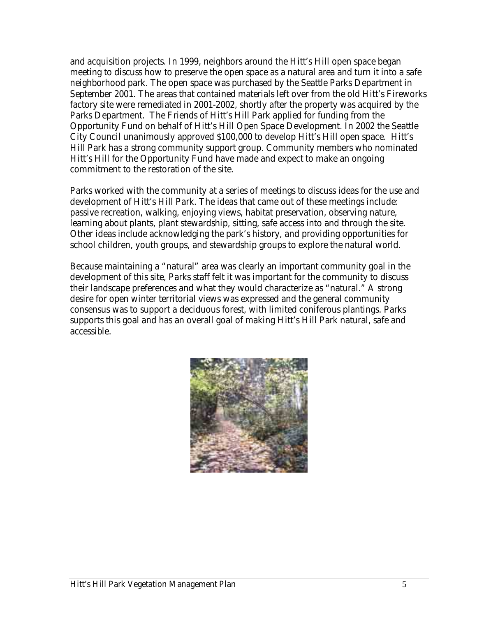and acquisition projects. In 1999, neighbors around the Hitt's Hill open space began meeting to discuss how to preserve the open space as a natural area and turn it into a safe neighborhood park. The open space was purchased by the Seattle Parks Department in September 2001. The areas that contained materials left over from the old Hitt's Fireworks factory site were remediated in 2001-2002, shortly after the property was acquired by the Parks Department. The Friends of Hitt's Hill Park applied for funding from the Opportunity Fund on behalf of Hitt's Hill Open Space Development. In 2002 the Seattle City Council unanimously approved \$100,000 to develop Hitt's Hill open space. Hitt's Hill Park has a strong community support group. Community members who nominated Hitt's Hill for the Opportunity Fund have made and expect to make an ongoing commitment to the restoration of the site.

Parks worked with the community at a series of meetings to discuss ideas for the use and development of Hitt's Hill Park. The ideas that came out of these meetings include: passive recreation, walking, enjoying views, habitat preservation, observing nature, learning about plants, plant stewardship, sitting, safe access into and through the site. Other ideas include acknowledging the park's history, and providing opportunities for school children, youth groups, and stewardship groups to explore the natural world.

Because maintaining a "natural" area was clearly an important community goal in the development of this site, Parks staff felt it was important for the community to discuss their landscape preferences and what they would characterize as "natural." A strong desire for open winter territorial views was expressed and the general community consensus was to support a deciduous forest, with limited coniferous plantings. Parks supports this goal and has an overall goal of making Hitt's Hill Park natural, safe and accessible.

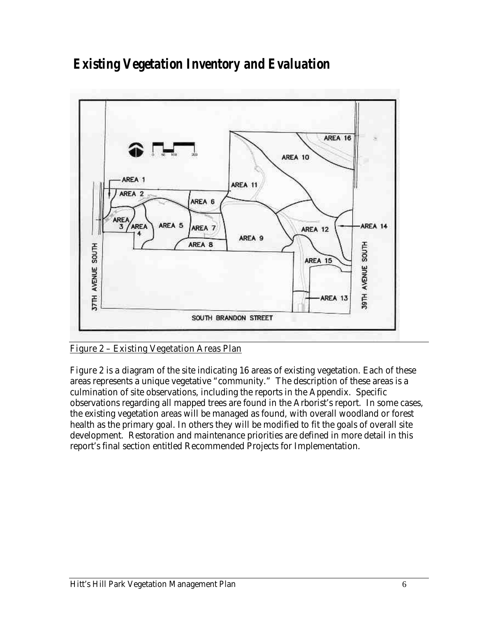#### *Existing Vegetation Inventory and Evaluation*



Figure 2 – Existing Vegetation Areas Plan

Figure 2 is a diagram of the site indicating 16 areas of existing vegetation. Each of these areas represents a unique vegetative "community." The description of these areas is a culmination of site observations, including the reports in the Appendix. Specific observations regarding all mapped trees are found in the Arborist's report. In some cases, the existing vegetation areas will be managed as found, with overall woodland or forest health as the primary goal. In others they will be modified to fit the goals of overall site development. Restoration and maintenance priorities are defined in more detail in this report's final section entitled Recommended Projects for Implementation.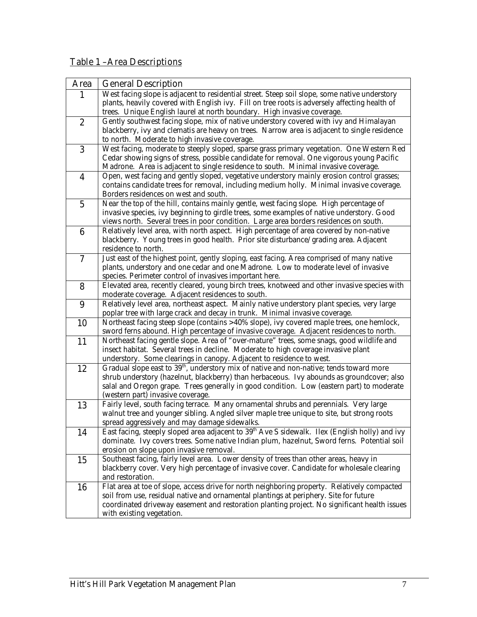#### Table 1 –Area Descriptions

| Area             | <b>General Description</b>                                                                                                                                                             |
|------------------|----------------------------------------------------------------------------------------------------------------------------------------------------------------------------------------|
| $\mathbf{1}$     | West facing slope is adjacent to residential street. Steep soil slope, some native understory                                                                                          |
|                  | plants, heavily covered with English ivy. Fill on tree roots is adversely affecting health of                                                                                          |
|                  | trees. Unique English laurel at north boundary. High invasive coverage.                                                                                                                |
| $\boldsymbol{2}$ | Gently southwest facing slope, mix of native understory covered with ivy and Himalayan                                                                                                 |
|                  | blackberry, ivy and clematis are heavy on trees. Narrow area is adjacent to single residence                                                                                           |
|                  | to north. Moderate to high invasive coverage.                                                                                                                                          |
| 3                | West facing, moderate to steeply sloped, sparse grass primary vegetation. One Western Red                                                                                              |
|                  | Cedar showing signs of stress, possible candidate for removal. One vigorous young Pacific                                                                                              |
|                  | Madrone. Area is adjacent to single residence to south. Minimal invasive coverage.                                                                                                     |
| $\boldsymbol{4}$ | Open, west facing and gently sloped, vegetative understory mainly erosion control grasses;<br>contains candidate trees for removal, including medium holly. Minimal invasive coverage. |
|                  | Borders residences on west and south.                                                                                                                                                  |
| $\overline{5}$   | Near the top of the hill, contains mainly gentle, west facing slope. High percentage of                                                                                                |
|                  | invasive species, ivy beginning to girdle trees, some examples of native understory. Good                                                                                              |
|                  | views north. Several trees in poor condition. Large area borders residences on south.                                                                                                  |
| $\boldsymbol{6}$ | Relatively level area, with north aspect. High percentage of area covered by non-native                                                                                                |
|                  | blackberry. Young trees in good health. Prior site disturbance/grading area. Adjacent                                                                                                  |
|                  | residence to north.                                                                                                                                                                    |
| $\overline{7}$   | Just east of the highest point, gently sloping, east facing. Area comprised of many native                                                                                             |
|                  | plants, understory and one cedar and one Madrone. Low to moderate level of invasive                                                                                                    |
|                  | species. Perimeter control of invasives important here.                                                                                                                                |
| 8                | Elevated area, recently cleared, young birch trees, knotweed and other invasive species with                                                                                           |
|                  | moderate coverage. Adjacent residences to south.                                                                                                                                       |
| 9                | Relatively level area, northeast aspect. Mainly native understory plant species, very large                                                                                            |
|                  | poplar tree with large crack and decay in trunk. Minimal invasive coverage.<br>Northeast facing steep slope (contains >40% slope), ivy covered maple trees, one hemlock,               |
| 10               | sword ferns abound. High percentage of invasive coverage. Adjacent residences to north.                                                                                                |
| 11               | Northeast facing gentle slope. Area of "over-mature" trees, some snags, good wildlife and                                                                                              |
|                  | insect habitat. Several trees in decline. Moderate to high coverage invasive plant                                                                                                     |
|                  | understory. Some clearings in canopy. Adjacent to residence to west.                                                                                                                   |
| 12               | Gradual slope east to 39 <sup>th</sup> , understory mix of native and non-native; tends toward more                                                                                    |
|                  | shrub understory (hazelnut, blackberry) than herbaceous. Ivy abounds as groundcover; also                                                                                              |
|                  | salal and Oregon grape. Trees generally in good condition. Low (eastern part) to moderate                                                                                              |
|                  | (western part) invasive coverage.                                                                                                                                                      |
| 13               | Fairly level, south facing terrace. Many ornamental shrubs and perennials. Very large                                                                                                  |
|                  | walnut tree and younger sibling. Angled silver maple tree unique to site, but strong roots                                                                                             |
|                  | spread aggressively and may damage sidewalks.                                                                                                                                          |
| 14               | East facing, steeply sloped area adjacent to 39 <sup>th</sup> Ave S sidewalk. Ilex (English holly) and ivy                                                                             |
|                  | dominate. Ivy covers trees. Some native Indian plum, hazelnut, Sword ferns. Potential soil                                                                                             |
| 15               | erosion on slope upon invasive removal.<br>Southeast facing, fairly level area. Lower density of trees than other areas, heavy in                                                      |
|                  | blackberry cover. Very high percentage of invasive cover. Candidate for wholesale clearing                                                                                             |
|                  | and restoration.                                                                                                                                                                       |
| 16               | Flat area at toe of slope, access drive for north neighboring property. Relatively compacted                                                                                           |
|                  | soil from use, residual native and ornamental plantings at periphery. Site for future                                                                                                  |
|                  | coordinated driveway easement and restoration planting project. No significant health issues                                                                                           |
|                  | with existing vegetation.                                                                                                                                                              |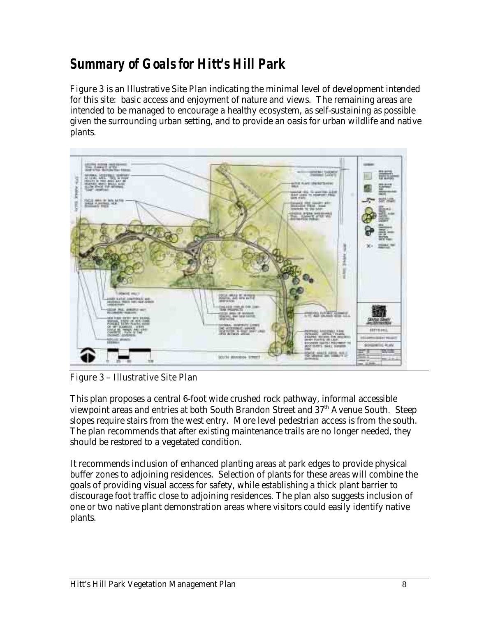#### *Summary of Goals for Hitt's Hill Park*

**Figure 3** is an Illustrative Site Plan indicating the minimal level of development intended for this site: basic access and enjoyment of nature and views. The remaining areas are intended to be managed to encourage a healthy ecosystem, as self-sustaining as possible given the surrounding urban setting, and to provide an oasis for urban wildlife and native plants.



Figure 3 – Illustrative Site Plan

This plan proposes a central 6-foot wide crushed rock pathway, informal accessible viewpoint areas and entries at both South Brandon Street and 37<sup>th</sup> Avenue South. Steep slopes require stairs from the west entry. More level pedestrian access is from the south. The plan recommends that after existing maintenance trails are no longer needed, they should be restored to a vegetated condition.

It recommends inclusion of enhanced planting areas at park edges to provide physical buffer zones to adjoining residences. Selection of plants for these areas will combine the goals of providing visual access for safety, while establishing a thick plant barrier to discourage foot traffic close to adjoining residences. The plan also suggests inclusion of one or two native plant demonstration areas where visitors could easily identify native plants.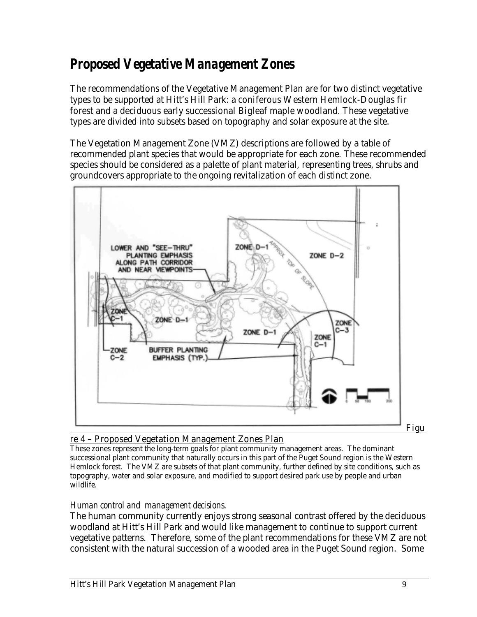#### *Proposed Vegetative Management Zones*

The recommendations of the Vegetative Management Plan are for two distinct vegetative types to be supported at Hitt's Hill Park: a coniferous Western Hemlock-Douglas fir forest and a deciduous early successional Bigleaf maple woodland. These vegetative types are divided into subsets based on topography and solar exposure at the site.

The Vegetation Management Zone (VMZ) descriptions are followed by a table of recommended plant species that would be appropriate for each zone. These recommended species should be considered as a palette of plant material, representing trees, shrubs and groundcovers appropriate to the ongoing revitalization of each distinct zone.



#### re 4 – Proposed Vegetation Management Zones Plan

These zones represent the long-term goals for plant community management areas. The dominant successional plant community that naturally occurs in this part of the Puget Sound region is the Western Hemlock forest. The VMZ are subsets of that plant community, further defined by site conditions, such as topography, water and solar exposure, and modified to support desired park use by people and urban wildlife.

#### *Human control and management decisions.*

The human community currently enjoys strong seasonal contrast offered by the deciduous woodland at Hitt's Hill Park and would like management to continue to support current vegetative patterns. Therefore, some of the plant recommendations for these VMZ are not consistent with the natural succession of a wooded area in the Puget Sound region. Some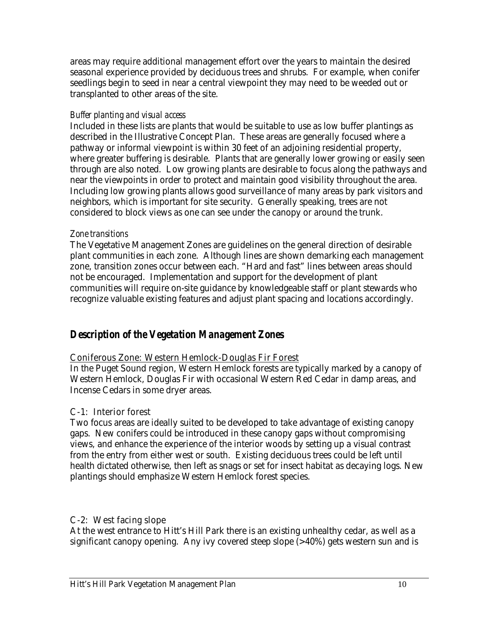areas may require additional management effort over the years to maintain the desired seasonal experience provided by deciduous trees and shrubs. For example, when conifer seedlings begin to seed in near a central viewpoint they may need to be weeded out or transplanted to other areas of the site.

#### *Buffer planting and visual access*

Included in these lists are plants that would be suitable to use as low buffer plantings as described in the Illustrative Concept Plan. These areas are generally focused where a pathway or informal viewpoint is within 30 feet of an adjoining residential property, where greater buffering is desirable. Plants that are generally lower growing or easily seen through are also noted. Low growing plants are desirable to focus along the pathways and near the viewpoints in order to protect and maintain good visibility throughout the area. Including low growing plants allows good surveillance of many areas by park visitors and neighbors, which is important for site security. Generally speaking, trees are not considered to block views as one can see under the canopy or around the trunk.

#### *Zone transitions*

The Vegetative Management Zones are guidelines on the general direction of desirable plant communities in each zone. Although lines are shown demarking each management zone, transition zones occur between each. "Hard and fast" lines between areas should not be encouraged. Implementation and support for the development of plant communities will require on-site guidance by knowledgeable staff or plant stewards who recognize valuable existing features and adjust plant spacing and locations accordingly.

#### *Description of the Vegetation Management Zones*

#### Coniferous Zone: Western Hemlock-Douglas Fir Forest

In the Puget Sound region, Western Hemlock forests are typically marked by a canopy of Western Hemlock, Douglas Fir with occasional Western Red Cedar in damp areas, and Incense Cedars in some dryer areas.

#### C-1: Interior forest

Two focus areas are ideally suited to be developed to take advantage of existing canopy gaps. New conifers could be introduced in these canopy gaps without compromising views, and enhance the experience of the interior woods by setting up a visual contrast from the entry from either west or south. Existing deciduous trees could be left until health dictated otherwise, then left as snags or set for insect habitat as decaying logs. New plantings should emphasize Western Hemlock forest species.

#### C-2: West facing slope

At the west entrance to Hitt's Hill Park there is an existing unhealthy cedar, as well as a significant canopy opening. Any ivy covered steep slope (>40%) gets western sun and is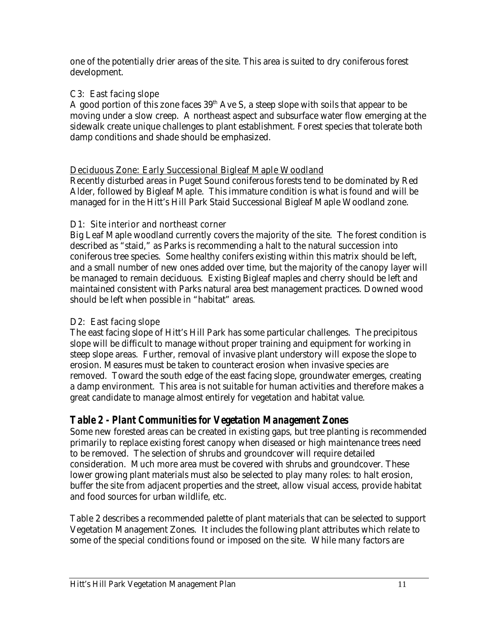one of the potentially drier areas of the site. This area is suited to dry coniferous forest development.

#### C3: East facing slope

A good portion of this zone faces  $39<sup>th</sup>$  Ave S, a steep slope with soils that appear to be moving under a slow creep. A northeast aspect and subsurface water flow emerging at the sidewalk create unique challenges to plant establishment. Forest species that tolerate both damp conditions and shade should be emphasized.

#### Deciduous Zone: Early Successional Bigleaf Maple Woodland

Recently disturbed areas in Puget Sound coniferous forests tend to be dominated by Red Alder, followed by Bigleaf Maple. This immature condition is what is found and will be managed for in the Hitt's Hill Park Staid Successional Bigleaf Maple Woodland zone.

#### D1: Site interior and northeast corner

Big Leaf Maple woodland currently covers the majority of the site. The forest condition is described as "staid," as Parks is recommending a halt to the natural succession into coniferous tree species. Some healthy conifers existing within this matrix should be left, and a small number of new ones added over time, but the majority of the canopy layer will be managed to remain deciduous. Existing Bigleaf maples and cherry should be left and maintained consistent with Parks natural area best management practices. Downed wood should be left when possible in "habitat" areas.

#### D2: East facing slope

The east facing slope of Hitt's Hill Park has some particular challenges. The precipitous slope will be difficult to manage without proper training and equipment for working in steep slope areas. Further, removal of invasive plant understory will expose the slope to erosion. Measures must be taken to counteract erosion when invasive species are removed. Toward the south edge of the east facing slope, groundwater emerges, creating a damp environment. This area is not suitable for human activities and therefore makes a great candidate to manage almost entirely for vegetation and habitat value.

#### *Table 2 - Plant Communities for Vegetation Management Zones*

Some new forested areas can be created in existing gaps, but tree planting is recommended primarily to replace existing forest canopy when diseased or high maintenance trees need to be removed. The selection of shrubs and groundcover will require detailed consideration. Much more area must be covered with shrubs and groundcover. These lower growing plant materials must also be selected to play many roles: to halt erosion, buffer the site from adjacent properties and the street, allow visual access, provide habitat and food sources for urban wildlife, etc.

Table 2 describes a recommended palette of plant materials that can be selected to support Vegetation Management Zones. It includes the following plant attributes which relate to some of the special conditions found or imposed on the site. While many factors are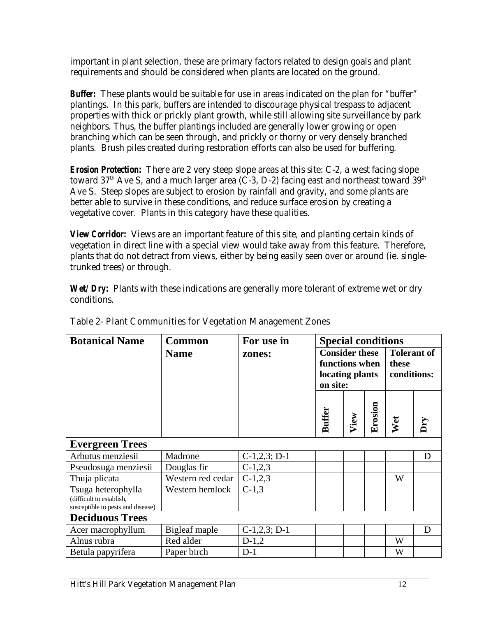important in plant selection, these are primary factors related to design goals and plant requirements and should be considered when plants are located on the ground.

*Buffer:* These plants would be suitable for use in areas indicated on the plan for "buffer" plantings. In this park, buffers are intended to discourage physical trespass to adjacent properties with thick or prickly plant growth, while still allowing site surveillance by park neighbors. Thus, the buffer plantings included are generally lower growing or open branching which can be seen through, and prickly or thorny or very densely branched plants. Brush piles created during restoration efforts can also be used for buffering.

*Erosion Protection:* There are 2 very steep slope areas at this site: C-2, a west facing slope toward  $37<sup>th</sup>$  Ave S, and a much larger area (C-3, D-2) facing east and northeast toward  $39<sup>th</sup>$ Ave S. Steep slopes are subject to erosion by rainfall and gravity, and some plants are better able to survive in these conditions, and reduce surface erosion by creating a vegetative cover. Plants in this category have these qualities.

*View Corridor:* Views are an important feature of this site, and planting certain kinds of vegetation in direct line with a special view would take away from this feature. Therefore, plants that do not detract from views, either by being easily seen over or around (ie. singletrunked trees) or through.

*Wet/Dry:* Plants with these indications are generally more tolerant of extreme wet or dry conditions.

| <b>Botanical Name</b>                                                               | <b>Common</b>     | For use in     | <b>Special conditions</b>                                              |      |                                            |     |   |
|-------------------------------------------------------------------------------------|-------------------|----------------|------------------------------------------------------------------------|------|--------------------------------------------|-----|---|
|                                                                                     | <b>Name</b>       | zones:         | <b>Consider these</b><br>functions when<br>locating plants<br>on site: |      | <b>Tolerant of</b><br>these<br>conditions: |     |   |
|                                                                                     |                   |                | <b>Buffer</b>                                                          | View | Erosion                                    | Wet |   |
| <b>Evergreen Trees</b>                                                              |                   |                |                                                                        |      |                                            |     |   |
| Arbutus menziesii                                                                   | Madrone           | $C-1,2,3; D-1$ |                                                                        |      |                                            |     | D |
| Pseudosuga menziesii                                                                | Douglas fir       | $C-1,2,3$      |                                                                        |      |                                            |     |   |
| Thuja plicata                                                                       | Western red cedar | $C-1,2,3$      |                                                                        |      |                                            | W   |   |
| Tsuga heterophylla<br>(difficult to establish,<br>susceptible to pests and disease) | Western hemlock   | $C-1,3$        |                                                                        |      |                                            |     |   |
| <b>Deciduous Trees</b>                                                              |                   |                |                                                                        |      |                                            |     |   |
| Acer macrophyllum                                                                   | Bigleaf maple     | $C-1,2,3; D-1$ |                                                                        |      |                                            |     | D |
| Alnus rubra                                                                         | Red alder         | $D-1,2$        |                                                                        |      |                                            | W   |   |
| Betula papyrifera                                                                   | Paper birch       | $D-1$          |                                                                        |      |                                            | W   |   |

Table 2- Plant Communities for Vegetation Management Zones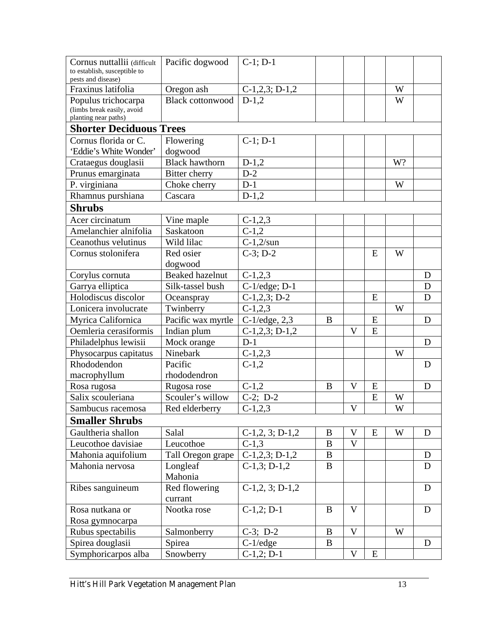| Cornus nuttallii (difficult<br>to establish, susceptible to               | Pacific dogwood         | $C-1$ ; $D-1$      |          |              |   |    |   |
|---------------------------------------------------------------------------|-------------------------|--------------------|----------|--------------|---|----|---|
| pests and disease)<br>Fraxinus latifolia                                  | Oregon ash              | $C-1,2,3; D-1,2$   |          |              |   | W  |   |
| Populus trichocarpa<br>(limbs break easily, avoid<br>planting near paths) | <b>Black cottonwood</b> | $D-1,2$            |          |              |   | W  |   |
| <b>Shorter Deciduous Trees</b>                                            |                         |                    |          |              |   |    |   |
| Cornus florida or C.                                                      | Flowering               | $C-1; D-1$         |          |              |   |    |   |
| 'Eddie's White Wonder'                                                    | dogwood                 |                    |          |              |   |    |   |
| Crataegus douglasii                                                       | <b>Black hawthorn</b>   | $D-1,2$            |          |              |   | W? |   |
| Prunus emarginata                                                         | Bitter cherry           | $D-2$              |          |              |   |    |   |
| P. virginiana                                                             | Choke cherry            | $D-1$              |          |              |   | W  |   |
| Rhamnus purshiana                                                         | Cascara                 | $D-1,2$            |          |              |   |    |   |
| <b>Shrubs</b>                                                             |                         |                    |          |              |   |    |   |
| Acer circinatum                                                           | Vine maple              | $C-1,2,3$          |          |              |   |    |   |
| Amelanchier alnifolia                                                     | Saskatoon               | $C-1,2$            |          |              |   |    |   |
| Ceanothus velutinus                                                       | Wild lilac              | $C-1,2/sun$        |          |              |   |    |   |
| Cornus stolonifera                                                        | Red osier               | $C-3; D-2$         |          |              | E | W  |   |
|                                                                           | dogwood                 |                    |          |              |   |    |   |
| Corylus cornuta                                                           | <b>Beaked hazelnut</b>  | $C-1,2,3$          |          |              |   |    | D |
| Garrya elliptica                                                          | Silk-tassel bush        | $C-1/edge; D-1$    |          |              |   |    | D |
| Holodiscus discolor                                                       | Oceanspray              | $C-1,2,3; D-2$     |          |              | E |    | D |
| Lonicera involucrate                                                      | Twinberry               | $C-1,2,3$          |          |              |   | W  |   |
| Myrica Californica                                                        | Pacific wax myrtle      | $C-1$ /edge, $2,3$ | B        |              | E |    | D |
| Oemleria cerasiformis                                                     | Indian plum             | $C-1,2,3; D-1,2$   |          | V            | E |    |   |
| Philadelphus lewisii                                                      | Mock orange             | $D-1$              |          |              |   |    | D |
| Physocarpus capitatus                                                     | Ninebark                | $C-1,2,3$          |          |              |   | W  |   |
| Rhododendon                                                               | Pacific                 | $C-1,2$            |          |              |   |    | D |
| macrophyllum                                                              | rhododendron            |                    |          |              |   |    |   |
| Rosa rugosa                                                               | Rugosa rose             | $C-1,2$            | B        | $\mathbf{V}$ | E |    | D |
| Salix scouleriana                                                         | Scouler's willow        | $C-2$ ; D-2        |          |              | E | W  |   |
| Sambucus racemosa                                                         | Red elderberry          | $C-1,2,3$          |          | V            |   | W  |   |
| <b>Smaller Shrubs</b>                                                     |                         |                    |          |              |   |    |   |
| Gaultheria shallon                                                        | Salal                   | $C-1,2,3; D-1,2$   | B        | $\mathbf{V}$ | E | W  | D |
| Leucothoe davisiae                                                        | Leucothoe               | $C-1,3$            | B        | $\mathbf{V}$ |   |    |   |
| Mahonia aquifolium                                                        | Tall Oregon grape       | $C-1,2,3; D-1,2$   | B        |              |   |    | D |
| Mahonia nervosa                                                           | Longleaf                | $C-1,3; D-1,2$     | B        |              |   |    | D |
|                                                                           | Mahonia                 |                    |          |              |   |    |   |
| Ribes sanguineum                                                          | Red flowering           | $C-1,2,3; D-1,2$   |          |              |   |    | D |
|                                                                           | currant                 |                    |          |              |   |    |   |
| Rosa nutkana or                                                           | Nootka rose             | $C-1,2; D-1$       | B        | V            |   |    | D |
| Rosa gymnocarpa                                                           |                         |                    |          |              |   |    |   |
| Rubus spectabilis                                                         | Salmonberry             | $C-3$ ; D-2        | $\bf{B}$ | $\mathbf{V}$ |   | W  |   |
| Spirea douglasii                                                          | Spirea                  | $C-1$ /edge        | B        |              |   |    | D |
| Symphoricarpos alba                                                       | Snowberry               | $C-1,2; D-1$       |          | V            | E |    |   |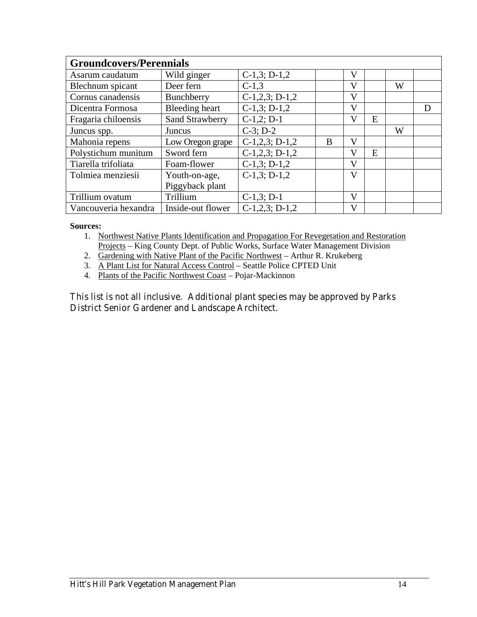| <b>Groundcovers/Perennials</b> |                       |                  |   |                         |   |   |   |  |
|--------------------------------|-----------------------|------------------|---|-------------------------|---|---|---|--|
| Asarum caudatum                | Wild ginger           | $C-1,3; D-1,2$   |   | V                       |   |   |   |  |
| Blechnum spicant               | Deer fern             | $C-1,3$          |   | V                       |   | W |   |  |
| Cornus canadensis              | Bunchberry            | $C-1,2,3; D-1,2$ |   | V                       |   |   |   |  |
| Dicentra Formosa               | <b>Bleeding heart</b> | $C-1,3; D-1,2$   |   | V                       |   |   | D |  |
| Fragaria chiloensis            | Sand Strawberry       | $C-1,2; D-1$     |   | V                       | E |   |   |  |
| Juncus spp.                    | Juncus                | $C-3$ ; $D-2$    |   |                         |   | W |   |  |
| Mahonia repens                 | Low Oregon grape      | $C-1,2,3; D-1,2$ | B | V                       |   |   |   |  |
| Polystichum munitum            | Sword fern            | $C-1,2,3; D-1,2$ |   | V                       | E |   |   |  |
| Tiarella trifoliata            | Foam-flower           | $C-1,3; D-1,2$   |   | V                       |   |   |   |  |
| Tolmiea menziesii              | Youth-on-age,         | $C-1,3; D-1,2$   |   | $\overline{\mathsf{V}}$ |   |   |   |  |
|                                | Piggyback plant       |                  |   |                         |   |   |   |  |
| Trillium ovatum                | Trillium              | $C-1,3; D-1$     |   | V                       |   |   |   |  |
| Vancouveria hexandra           | Inside-out flower     | $C-1,2,3; D-1,2$ |   | V                       |   |   |   |  |

#### **Sources:**

- 1. Northwest Native Plants Identification and Propagation For Revegetation and Restoration Projects – King County Dept. of Public Works, Surface Water Management Division
- 2. Gardening with Native Plant of the Pacific Northwest Arthur R. Krukeberg
- 3. A Plant List for Natural Access Control Seattle Police CPTED Unit
- 4. Plants of the Pacific Northwest Coast Pojar-Mackinnon

#### This list is not all inclusive. Additional plant species may be approved by Parks District Senior Gardener and Landscape Architect.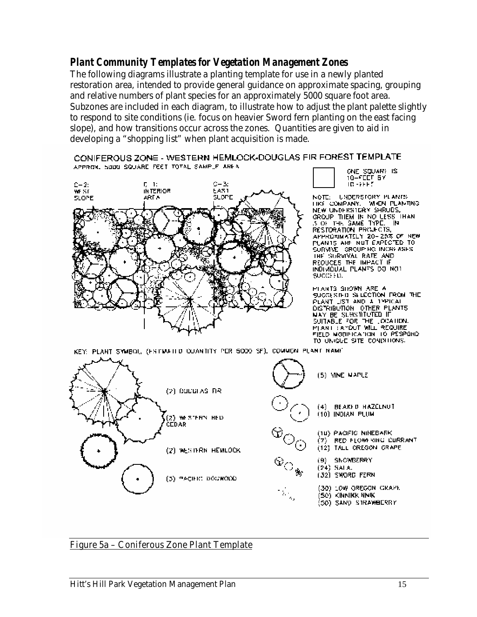#### *Plant Community Templates for Vegetation Management Zones*

The following diagrams illustrate a planting template for use in a newly planted restoration area, intended to provide general guidance on approximate spacing, grouping and relative numbers of plant species for an approximately 5000 square foot area. Subzones are included in each diagram, to illustrate how to adjust the plant palette slightly to respond to site conditions (ie. focus on heavier Sword fern planting on the east facing slope), and how transitions occur across the zones. Quantities are given to aid in developing a "shopping list" when plant acquisition is made.

CONIFEROUS ZONE - WESTERN HEMLOCK-DOUGLAS FIR FOREST TEMPLATE APPROX, SOUD SQUARE FEET TOTAL SAMPLE AREA



ONE SQUARE IS<br>10-FEET BY<br>10-FEET

NOTE: UNDERSTORY PLANTS TIKE COMPANY. WHEN PLANTING NEW UNDERSTORY SHRUDS, GROUP THEM IN NO LESS THAN RESTORATION PROJECTS, APPROMMATELY 20-25% OF NEW PLANTS ARE NUT EXPECTED TO THE SURVIVAL RATE AND INDIVIDUAL PLANTS DO NOT SUCCEED.

PLANTS SHOWN ARE A SUGGESTED SELECTION FROM THE PLANT LIST AND A TYPICAL DISTRIBUTION OTHER PLANTS NAY BE SLASMINTED IF SUITABLE FOR THE LOCATION.<br>PLANT LAYDUT WILL REQUIRE<br>FIELD MODIFICATION TO PESPOND TO UNIQUE SITE CONDITIONS.

KEY: PLANT SYMBOL, (ESTIMATED COANTITY PER 5000 SF), COMMON PLANT NAME



#### Figure 5a – Coniferous Zone Plant Template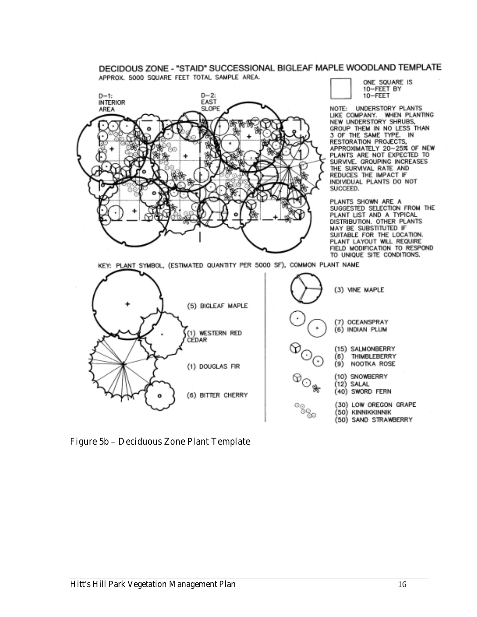#### DECIDOUS ZONE - "STAID" SUCCESSIONAL BIGLEAF MAPLE WOODLAND TEMPLATE APPROX. 5000 SQUARE FEET TOTAL SAMPLE AREA.



ONE SQUARE IS 10-FEET BY 10-FEET

NOTE: UNDERSTORY PLANTS LIKE COMPANY. WHEN PLANTING GROUP THEM IN NO LESS THAN<br>3 OF THE SAME TYPE. IN RESTORATION PROJECTS, APPROXIMATELY 20-25% OF NEW SURVIVE. GROUPING INCREASES THE SURVIVAL RATE AND<br>REDUCES THE IMPACT IF INDIVIDUAL PLANTS DO NOT SUCCEED.

PLANTS SHOWN ARE A SUGGESTED SELECTION FROM THE DISTRIBUTION. OTHER PLANTS MAY BE SUBSTITUTED IF SUITABLE FOR THE LOCATION.<br>PLANT LAYOUT WILL REQUIRE<br>FIELD MODIFICATION TO RESPOND TO UNIQUE SITE CONDITIONS.

KEY: PLANT SYMBOL, (ESTIMATED QUANTITY PER 5000 SF), COMMON PLANT NAME



Figure 5b – Deciduous Zone Plant Template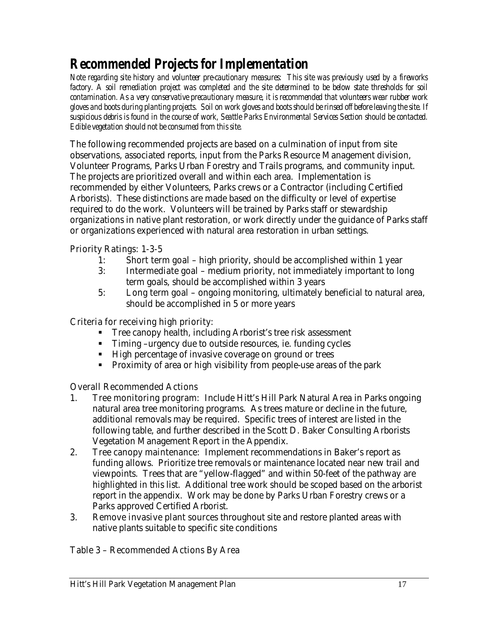#### *Recommended Projects for Implementation*

*Note regarding site history and volunteer pre-cautionary measures: This site was previously used by a fireworks*  factory. A soil remediation project was completed and the site determined to be below state thresholds for soil *contamination. As a very conservative precautionary measure, it is recommended that volunteers wear rubber work gloves and boots during planting projects. Soil on work gloves and boots should be rinsed off before leaving the site. If suspicious debris is found in the course of work, Seattle Parks Environmental Services Section should be contacted. Edible vegetation should not be consumed from this site.* 

The following recommended projects are based on a culmination of input from site observations, associated reports, input from the Parks Resource Management division, Volunteer Programs, Parks Urban Forestry and Trails programs, and community input. The projects are prioritized overall and within each area. Implementation is recommended by either Volunteers, Parks crews or a Contractor (including Certified Arborists). These distinctions are made based on the difficulty or level of expertise required to do the work. Volunteers will be trained by Parks staff or stewardship organizations in native plant restoration, or work directly under the guidance of Parks staff or organizations experienced with natural area restoration in urban settings.

#### Priority Ratings: 1-3-5

- 1: Short term goal high priority, should be accomplished within 1 year
- 3: Intermediate goal medium priority, not immediately important to long term goals, should be accomplished within 3 years
- 5: Long term goal ongoing monitoring, ultimately beneficial to natural area, should be accomplished in 5 or more years

#### Criteria for receiving high priority:

- Tree canopy health, including Arborist's tree risk assessment
- Timing –urgency due to outside resources, ie. funding cycles
- **High percentage of invasive coverage on ground or trees**
- Proximity of area or high visibility from people-use areas of the park

#### Overall Recommended Actions

- 1. Tree monitoring program: Include Hitt's Hill Park Natural Area in Parks ongoing natural area tree monitoring programs. As trees mature or decline in the future, additional removals may be required. Specific trees of interest are listed in the following table, and further described in the Scott D. Baker Consulting Arborists Vegetation Management Report in the Appendix.
- 2. Tree canopy maintenance: Implement recommendations in Baker's report as funding allows. Prioritize tree removals or maintenance located near new trail and viewpoints. Trees that are "yellow-flagged" and within 50-feet of the pathway are highlighted in this list. Additional tree work should be scoped based on the arborist report in the appendix. Work may be done by Parks Urban Forestry crews or a Parks approved Certified Arborist.
- 3. Remove invasive plant sources throughout site and restore planted areas with native plants suitable to specific site conditions

#### Table 3 – Recommended Actions By Area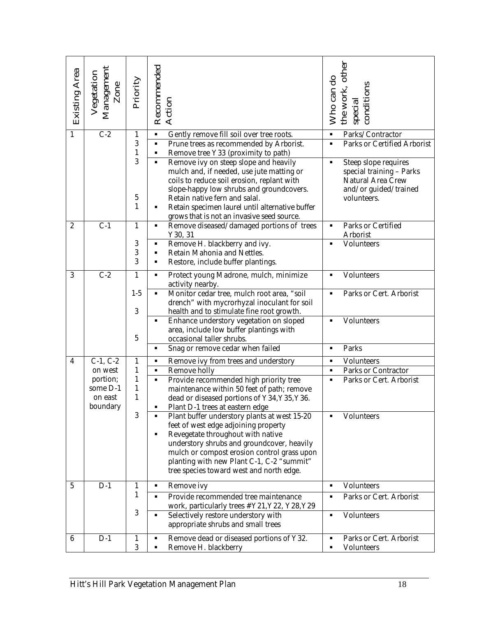| <b>Existing Area</b>    | Management<br>Vegetation<br>Zone | Priority              | Recommended<br><b>Action</b>                                                                                                                                                                                                                                                                                                                                 | the work, other<br>Who can do<br>conditions<br>special                                                                                 |
|-------------------------|----------------------------------|-----------------------|--------------------------------------------------------------------------------------------------------------------------------------------------------------------------------------------------------------------------------------------------------------------------------------------------------------------------------------------------------------|----------------------------------------------------------------------------------------------------------------------------------------|
| $\mathbf{1}$            | $\overline{C-2}$                 | 1<br>3                | Gently remove fill soil over tree roots.<br>$\blacksquare$<br>Prune trees as recommended by Arborist.<br>κ                                                                                                                                                                                                                                                   | Parks/Contractor<br>$\blacksquare$<br><b>Parks or Certified Arborist</b><br>$\blacksquare$                                             |
|                         |                                  | $\mathbf{1}$          | Remove tree Y33 (proximity to path)<br>٠                                                                                                                                                                                                                                                                                                                     |                                                                                                                                        |
|                         |                                  | 3<br>$\mathbf 5$<br>1 | Remove ivy on steep slope and heavily<br>κ<br>mulch and, if needed, use jute matting or<br>coils to reduce soil erosion, replant with<br>slope-happy low shrubs and groundcovers.<br>Retain native fern and salal.<br>Retain specimen laurel until alternative buffer<br>٠<br>grows that is not an invasive seed source.                                     | Steep slope requires<br>$\blacksquare$<br>special training - Parks<br><b>Natural Area Crew</b><br>and/or guided/trained<br>volunteers. |
| $\boldsymbol{2}$        | $C-1$                            | $\mathbf{1}$          | Remove diseased/damaged portions of trees<br>٠<br>Y30, 31                                                                                                                                                                                                                                                                                                    | <b>Parks or Certified</b><br>$\blacksquare$<br>Arborist                                                                                |
|                         |                                  | 3                     | Remove H. blackberry and ivy.<br>٠                                                                                                                                                                                                                                                                                                                           | <b>Volunteers</b><br>$\blacksquare$                                                                                                    |
|                         |                                  | 3<br>3                | Retain Mahonia and Nettles.<br>$\blacksquare$<br>Restore, include buffer plantings.<br>Ξ                                                                                                                                                                                                                                                                     |                                                                                                                                        |
| 3                       | $C-2$                            | $\mathbf{1}$          | Protect young Madrone, mulch, minimize<br>٠                                                                                                                                                                                                                                                                                                                  | <b>Volunteers</b>                                                                                                                      |
|                         |                                  | $1-5$                 | activity nearby.<br>Monitor cedar tree, mulch root area, "soil<br>κ                                                                                                                                                                                                                                                                                          | Parks or Cert. Arborist                                                                                                                |
|                         |                                  | 3                     | drench" with mycrorhyzal inoculant for soil<br>health and to stimulate fine root growth.                                                                                                                                                                                                                                                                     |                                                                                                                                        |
|                         |                                  | 5                     | Enhance understory vegetation on sloped<br>٠<br>area, include low buffer plantings with<br>occasional taller shrubs.                                                                                                                                                                                                                                         | <b>Volunteers</b><br>$\blacksquare$                                                                                                    |
|                         |                                  |                       | Snag or remove cedar when failed<br>$\blacksquare$                                                                                                                                                                                                                                                                                                           | <b>Parks</b><br>$\blacksquare$                                                                                                         |
| $\overline{\mathbf{4}}$ | $C-1, C-2$                       | $\mathbf{1}$          | Remove ivy from trees and understory<br>٠                                                                                                                                                                                                                                                                                                                    | <b>Volunteers</b><br>$\blacksquare$                                                                                                    |
|                         | on west                          | 1                     | <b>Remove holly</b><br>$\blacksquare$                                                                                                                                                                                                                                                                                                                        | <b>Parks or Contractor</b><br>$\blacksquare$<br>$\blacksquare$                                                                         |
|                         | portion;<br>some D-1             | $\mathbf{1}$<br>1     | Provide recommended high priority tree<br>$\blacksquare$<br>maintenance within 50 feet of path; remove                                                                                                                                                                                                                                                       | Parks or Cert. Arborist                                                                                                                |
|                         | on east                          | $\mathbf{1}$          | dead or diseased portions of Y34, Y35, Y36.                                                                                                                                                                                                                                                                                                                  |                                                                                                                                        |
|                         | boundary                         | 3                     | Plant D-1 trees at eastern edge<br>Plant buffer understory plants at west 15-20<br>٠<br>feet of west edge adjoining property<br>Revegetate throughout with native<br>٠<br>understory shrubs and groundcover, heavily<br>mulch or compost erosion control grass upon<br>planting with new Plant C-1, C-2 "summit"<br>tree species toward west and north edge. | <b>Volunteers</b>                                                                                                                      |
| $5\phantom{.0}$         | $D-1$                            | 1                     | <b>Remove ivy</b><br>٠                                                                                                                                                                                                                                                                                                                                       | <b>Volunteers</b><br>$\blacksquare$                                                                                                    |
|                         |                                  | 1                     | Provide recommended tree maintenance<br>$\blacksquare$<br>work, particularly trees #Y21, Y22, Y28, Y29                                                                                                                                                                                                                                                       | <b>Parks or Cert. Arborist</b><br>٠                                                                                                    |
|                         |                                  | 3                     | Selectively restore understory with<br>Ξ<br>appropriate shrubs and small trees                                                                                                                                                                                                                                                                               | <b>Volunteers</b><br>$\blacksquare$                                                                                                    |
| 6                       | $D-1$                            | 1<br>3                | Remove dead or diseased portions of Y32.<br>٠<br>Remove H. blackberry<br>٠                                                                                                                                                                                                                                                                                   | Parks or Cert. Arborist<br>$\blacksquare$<br><b>Volunteers</b><br>٠                                                                    |
|                         |                                  |                       | Hitt's Hill Park Vegetation Management Plan                                                                                                                                                                                                                                                                                                                  | 18                                                                                                                                     |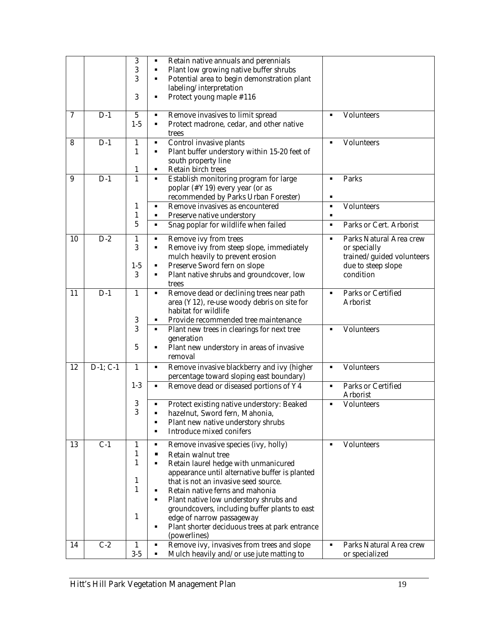|                  |            | 3                       | Retain native annuals and perennials<br>٠                      |                |                                |
|------------------|------------|-------------------------|----------------------------------------------------------------|----------------|--------------------------------|
|                  |            | 3                       | Plant low growing native buffer shrubs<br>٠                    |                |                                |
|                  |            | 3                       | Potential area to begin demonstration plant<br>κ               |                |                                |
|                  |            |                         | labeling/interpretation                                        |                |                                |
|                  |            | 3                       | Protect young maple #116<br>٠                                  |                |                                |
|                  |            |                         |                                                                |                |                                |
| $\overline{7}$   | $D-1$      | $\overline{\mathbf{5}}$ | Remove invasives to limit spread<br>$\blacksquare$             | $\blacksquare$ | <b>Volunteers</b>              |
|                  |            | $1-5$                   | Protect madrone, cedar, and other native<br>٠                  |                |                                |
|                  |            |                         | trees                                                          |                |                                |
| 8                | $D-1$      | $\mathbf{1}$            | Control invasive plants<br>$\blacksquare$                      | ٠              | <b>Volunteers</b>              |
|                  |            | 1                       | Plant buffer understory within 15-20 feet of<br>$\blacksquare$ |                |                                |
|                  |            |                         | south property line                                            |                |                                |
|                  |            | 1                       | Retain birch trees<br>٠                                        |                |                                |
| $\boldsymbol{9}$ | $D-1$      | $\mathbf{1}$            | Establish monitoring program for large<br>$\blacksquare$       | ٠              | Parks                          |
|                  |            |                         | poplar (#Y19) every year (or as                                |                |                                |
|                  |            |                         | recommended by Parks Urban Forester)                           | п              |                                |
|                  |            | 1                       | Remove invasives as encountered<br>$\blacksquare$              | $\blacksquare$ | <b>Volunteers</b>              |
|                  |            | 1                       | Preserve native understory<br>٠                                | ٠              |                                |
|                  |            | $\overline{5}$          | Snag poplar for wildlife when failed<br>$\blacksquare$         | ٠              | <b>Parks or Cert. Arborist</b> |
|                  |            |                         |                                                                |                |                                |
| 10               | $D-2$      | 1                       | Remove ivy from trees<br>٠                                     | ٠              | Parks Natural Area crew        |
|                  |            | 3                       | Remove ivy from steep slope, immediately<br>٠                  |                | or specially                   |
|                  |            |                         | mulch heavily to prevent erosion                               |                | trained/guided volunteers      |
|                  |            | $1-5$                   | Preserve Sword fern on slope<br>٠                              |                | due to steep slope             |
|                  |            | 3                       | Plant native shrubs and groundcover, low<br>٠                  |                | condition                      |
|                  |            |                         | trees                                                          |                |                                |
| 11               | $D-1$      | $\mathbf{1}$            | Remove dead or declining trees near path<br>$\blacksquare$     | $\blacksquare$ | <b>Parks or Certified</b>      |
|                  |            |                         | area (Y12), re-use woody debris on site for                    |                | <b>Arborist</b>                |
|                  |            |                         | habitat for wildlife                                           |                |                                |
|                  |            | 3                       | Provide recommended tree maintenance<br>٠                      |                |                                |
|                  |            | 3                       | Plant new trees in clearings for next tree<br>$\blacksquare$   |                | <b>Volunteers</b>              |
|                  |            |                         | generation                                                     |                |                                |
|                  |            | $\sqrt{5}$              | Plant new understory in areas of invasive<br>$\blacksquare$    |                |                                |
|                  |            |                         | removal                                                        |                |                                |
|                  |            |                         |                                                                |                |                                |
| 12               | $D-1; C-1$ | $\mathbf{1}$            | Remove invasive blackberry and ivy (higher<br>$\blacksquare$   | ٠              | <b>Volunteers</b>              |
|                  |            |                         | percentage toward sloping east boundary)                       |                |                                |
|                  |            | $1-3$                   | Remove dead or diseased portions of Y4<br>٠                    | $\blacksquare$ | <b>Parks or Certified</b>      |
|                  |            | 3                       |                                                                |                | <b>Arborist</b>                |
|                  |            | 3                       | Protect existing native understory: Beaked                     |                | <b>Volunteers</b>              |
|                  |            |                         | hazelnut, Sword fern, Mahonia,<br>٠                            |                |                                |
|                  |            |                         | Plant new native understory shrubs<br>٠                        |                |                                |
|                  |            |                         | <b>Introduce mixed conifers</b><br>٠                           |                |                                |
| 13               | $C-1$      | 1                       | Remove invasive species (ivy, holly)<br>٠                      | ٠              | <b>Volunteers</b>              |
|                  |            | $\mathbf{1}$            | <b>Retain walnut tree</b><br>п                                 |                |                                |
|                  |            | $\mathbf{1}$            | Retain laurel hedge with unmanicured<br>٠                      |                |                                |
|                  |            |                         | appearance until alternative buffer is planted                 |                |                                |
|                  |            | $\mathbf{1}$            | that is not an invasive seed source.                           |                |                                |
|                  |            | 1                       | Retain native ferns and mahonia<br>٠                           |                |                                |
|                  |            |                         | Plant native low understory shrubs and<br>٠                    |                |                                |
|                  |            |                         | groundcovers, including buffer plants to east                  |                |                                |
|                  |            | 1                       | edge of narrow passageway                                      |                |                                |
|                  |            |                         | Plant shorter deciduous trees at park entrance<br>٠            |                |                                |
|                  |            |                         | (powerlines)                                                   |                |                                |
| 14               | $C-2$      | 1                       | Remove ivy, invasives from trees and slope<br>٠                | ٠              | Parks Natural Area crew        |
|                  |            | $3-5$                   | Mulch heavily and/or use jute matting to<br>٠                  |                | or specialized                 |
|                  |            |                         |                                                                |                |                                |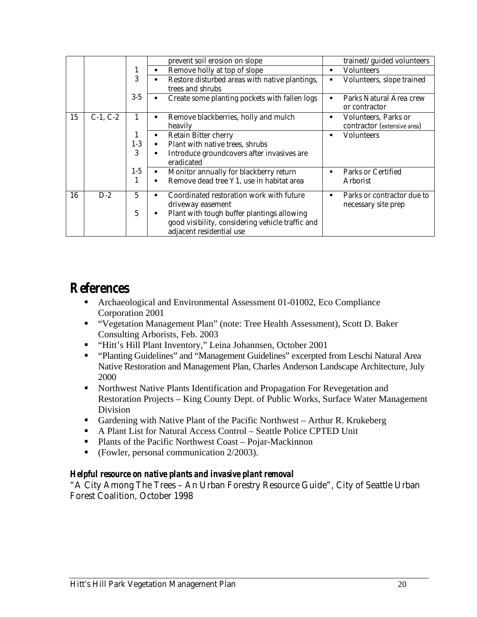|    |            |       | prevent soil erosion on slope                                    | trained/guided volunteers                |
|----|------------|-------|------------------------------------------------------------------|------------------------------------------|
|    |            | 1     | Remove holly at top of slope<br>٠                                | <b>Volunteers</b><br>$\blacksquare$      |
|    |            | 3     | Restore disturbed areas with native plantings,<br>$\blacksquare$ | Volunteers, slope trained                |
|    |            |       | trees and shrubs                                                 |                                          |
|    |            | $3-5$ | Create some planting pockets with fallen logs<br>٠               | Parks Natural Area crew<br>or contractor |
| 15 | $C-1, C-2$ | 1     | Remove blackberries, holly and mulch<br>٠                        | <b>Volunteers, Parks or</b>              |
|    |            |       | heavily                                                          | contractor (extensive area)              |
|    |            | 1     | <b>Retain Bitter cherry</b><br>٠                                 | <b>Volunteers</b>                        |
|    |            | $1-3$ | Plant with native trees, shrubs<br>٠                             |                                          |
|    |            | 3     | Introduce groundcovers after invasives are<br>٠                  |                                          |
|    |            |       | eradicated                                                       |                                          |
|    |            | $1-5$ | Monitor annually for blackberry return<br>٠                      | <b>Parks or Certified</b>                |
|    |            | 1     | Remove dead tree Y1, use in habitat area<br>٠                    | <b>Arborist</b>                          |
| 16 | $D-2$      | 5     | Coordinated restoration work with future<br>٠                    | Parks or contractor due to               |
|    |            |       | driveway easement                                                | necessary site prep                      |
|    |            | 5     | Plant with tough buffer plantings allowing<br>٠                  |                                          |
|    |            |       | good visibility, considering vehicle traffic and                 |                                          |
|    |            |       | adjacent residential use                                         |                                          |

#### *References*

- Archaeological and Environmental Assessment 01-01002, Eco Compliance Corporation 2001
- "Vegetation Management Plan" (note: Tree Health Assessment), Scott D. Baker Consulting Arborists, Feb. 2003
- "Hitt's Hill Plant Inventory," Leina Johannsen, October 2001
- "Planting Guidelines" and "Management Guidelines" excerpted from Leschi Natural Area Native Restoration and Management Plan, Charles Anderson Landscape Architecture, July 2000
- **Northwest Native Plants Identification and Propagation For Revegetation and** Restoration Projects – King County Dept. of Public Works, Surface Water Management Division
- Gardening with Native Plant of the Pacific Northwest Arthur R. Krukeberg
- A Plant List for Natural Access Control Seattle Police CPTED Unit
- Plants of the Pacific Northwest Coast Pojar-Mackinnon
- (Fowler, personal communication 2/2003).

#### *Helpful resource on native plants and invasive plant removal*

"A City Among The Trees – An Urban Forestry Resource Guide", City of Seattle Urban Forest Coalition, October 1998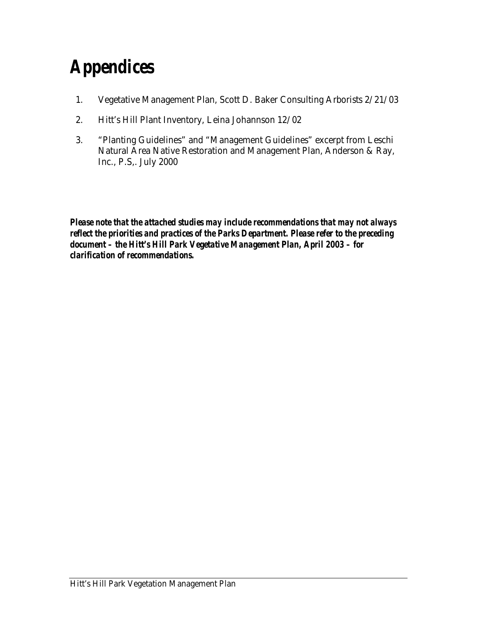#### *Appendices*

- 1. Vegetative Management Plan, Scott D. Baker Consulting Arborists 2/21/03
- 2. Hitt's Hill Plant Inventory, Leina Johannson 12/02
- 3. "Planting Guidelines" and "Management Guidelines" excerpt from Leschi Natural Area Native Restoration and Management Plan, Anderson & Ray, Inc., P.S,. July 2000

*Please note that the attached studies may include recommendations that may not always reflect the priorities and practices of the Parks Department. Please refer to the preceding document – the Hitt's Hill Park Vegetative Management Plan, April 2003 – for clarification of recommendations.*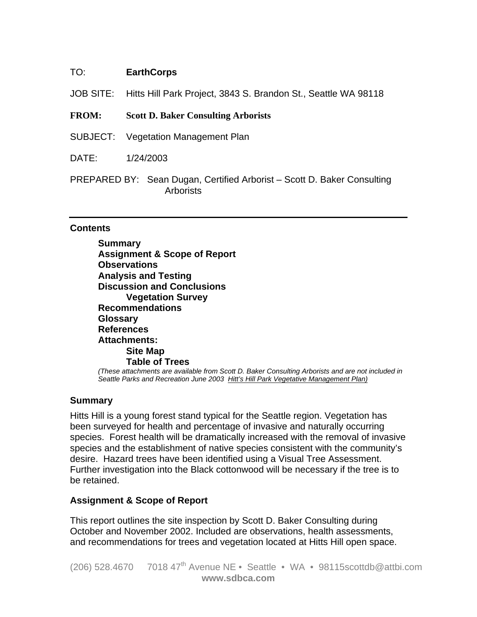#### TO: **EarthCorps**

- JOB SITE: Hitts Hill Park Project, 3843 S. Brandon St., Seattle WA 98118
- **FROM: Scott D. Baker Consulting Arborists**
- SUBJECT: Vegetation Management Plan
- DATE: 1/24/2003
- PREPARED BY: Sean Dugan, Certified Arborist Scott D. Baker Consulting **Arborists**

#### **Contents**

 **Summary Assignment & Scope of Report Observations Analysis and Testing Discussion and Conclusions Vegetation Survey Recommendations Glossary References Attachments: Site Map Table of Trees**  *(These attachments are available from Scott D. Baker Consulting Arborists and are not included in Seattle Parks and Recreation June 2003 Hitt's Hill Park Vegetative Management Plan)*

#### **Summary**

Hitts Hill is a young forest stand typical for the Seattle region. Vegetation has been surveyed for health and percentage of invasive and naturally occurring species. Forest health will be dramatically increased with the removal of invasive species and the establishment of native species consistent with the community's desire. Hazard trees have been identified using a Visual Tree Assessment. Further investigation into the Black cottonwood will be necessary if the tree is to be retained.

#### **Assignment & Scope of Report**

This report outlines the site inspection by Scott D. Baker Consulting during October and November 2002. Included are observations, health assessments, and recommendations for trees and vegetation located at Hitts Hill open space.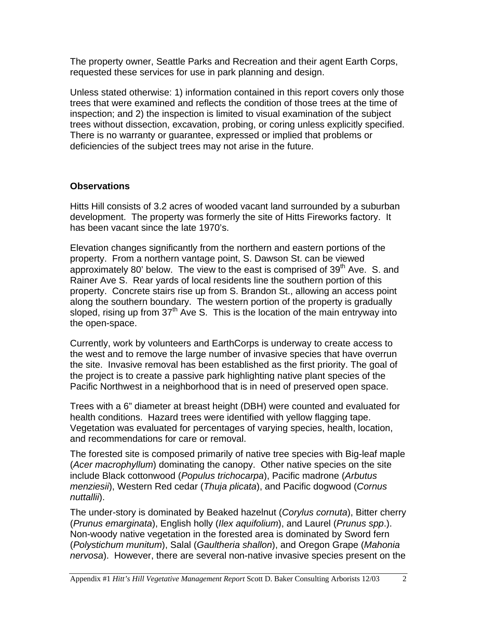The property owner, Seattle Parks and Recreation and their agent Earth Corps, requested these services for use in park planning and design.

Unless stated otherwise: 1) information contained in this report covers only those trees that were examined and reflects the condition of those trees at the time of inspection; and 2) the inspection is limited to visual examination of the subject trees without dissection, excavation, probing, or coring unless explicitly specified. There is no warranty or guarantee, expressed or implied that problems or deficiencies of the subject trees may not arise in the future.

#### **Observations**

Hitts Hill consists of 3.2 acres of wooded vacant land surrounded by a suburban development. The property was formerly the site of Hitts Fireworks factory. It has been vacant since the late 1970's.

Elevation changes significantly from the northern and eastern portions of the property. From a northern vantage point, S. Dawson St. can be viewed approximately 80' below. The view to the east is comprised of  $39<sup>th</sup>$  Ave. S. and Rainer Ave S. Rear yards of local residents line the southern portion of this property. Concrete stairs rise up from S. Brandon St., allowing an access point along the southern boundary. The western portion of the property is gradually sloped, rising up from  $37<sup>th</sup>$  Ave S. This is the location of the main entryway into the open-space.

Currently, work by volunteers and EarthCorps is underway to create access to the west and to remove the large number of invasive species that have overrun the site. Invasive removal has been established as the first priority. The goal of the project is to create a passive park highlighting native plant species of the Pacific Northwest in a neighborhood that is in need of preserved open space.

Trees with a 6" diameter at breast height (DBH) were counted and evaluated for health conditions. Hazard trees were identified with yellow flagging tape. Vegetation was evaluated for percentages of varying species, health, location, and recommendations for care or removal.

The forested site is composed primarily of native tree species with Big-leaf maple (*Acer macrophyllum*) dominating the canopy. Other native species on the site include Black cottonwood (*Populus trichocarpa*), Pacific madrone (*Arbutus menziesii*), Western Red cedar (*Thuja plicata*), and Pacific dogwood (*Cornus nuttallii*).

The under-story is dominated by Beaked hazelnut (*Corylus cornuta*), Bitter cherry (*Prunus emarginata*), English holly (*Ilex aquifolium*), and Laurel (*Prunus spp*.). Non-woody native vegetation in the forested area is dominated by Sword fern (*Polystichum munitum*), Salal (*Gaultheria shallon*), and Oregon Grape (*Mahonia nervosa*). However, there are several non-native invasive species present on the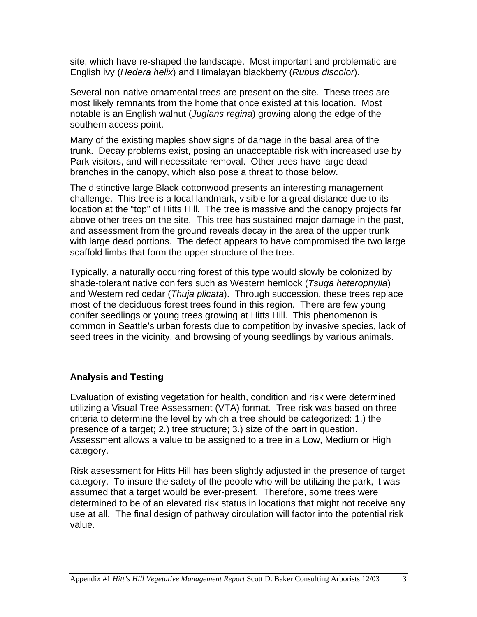site, which have re-shaped the landscape. Most important and problematic are English ivy (*Hedera helix*) and Himalayan blackberry (*Rubus discolor*).

Several non-native ornamental trees are present on the site. These trees are most likely remnants from the home that once existed at this location. Most notable is an English walnut (*Juglans regina*) growing along the edge of the southern access point.

Many of the existing maples show signs of damage in the basal area of the trunk. Decay problems exist, posing an unacceptable risk with increased use by Park visitors, and will necessitate removal. Other trees have large dead branches in the canopy, which also pose a threat to those below.

The distinctive large Black cottonwood presents an interesting management challenge. This tree is a local landmark, visible for a great distance due to its location at the "top" of Hitts Hill. The tree is massive and the canopy projects far above other trees on the site. This tree has sustained major damage in the past, and assessment from the ground reveals decay in the area of the upper trunk with large dead portions. The defect appears to have compromised the two large scaffold limbs that form the upper structure of the tree.

Typically, a naturally occurring forest of this type would slowly be colonized by shade-tolerant native conifers such as Western hemlock (*Tsuga heterophylla*) and Western red cedar (*Thuja plicata*). Through succession, these trees replace most of the deciduous forest trees found in this region. There are few young conifer seedlings or young trees growing at Hitts Hill. This phenomenon is common in Seattle's urban forests due to competition by invasive species, lack of seed trees in the vicinity, and browsing of young seedlings by various animals.

#### **Analysis and Testing**

Evaluation of existing vegetation for health, condition and risk were determined utilizing a Visual Tree Assessment (VTA) format. Tree risk was based on three criteria to determine the level by which a tree should be categorized: 1.) the presence of a target; 2.) tree structure; 3.) size of the part in question. Assessment allows a value to be assigned to a tree in a Low, Medium or High category.

Risk assessment for Hitts Hill has been slightly adjusted in the presence of target category. To insure the safety of the people who will be utilizing the park, it was assumed that a target would be ever-present. Therefore, some trees were determined to be of an elevated risk status in locations that might not receive any use at all. The final design of pathway circulation will factor into the potential risk value.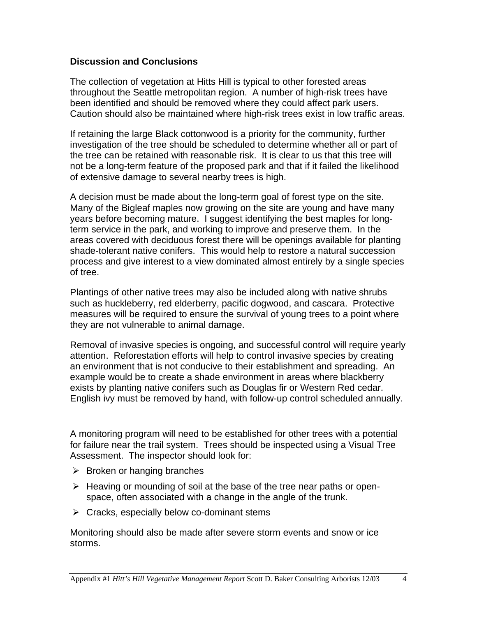#### **Discussion and Conclusions**

The collection of vegetation at Hitts Hill is typical to other forested areas throughout the Seattle metropolitan region. A number of high-risk trees have been identified and should be removed where they could affect park users. Caution should also be maintained where high-risk trees exist in low traffic areas.

If retaining the large Black cottonwood is a priority for the community, further investigation of the tree should be scheduled to determine whether all or part of the tree can be retained with reasonable risk. It is clear to us that this tree will not be a long-term feature of the proposed park and that if it failed the likelihood of extensive damage to several nearby trees is high.

A decision must be made about the long-term goal of forest type on the site. Many of the Bigleaf maples now growing on the site are young and have many years before becoming mature. I suggest identifying the best maples for longterm service in the park, and working to improve and preserve them. In the areas covered with deciduous forest there will be openings available for planting shade-tolerant native conifers. This would help to restore a natural succession process and give interest to a view dominated almost entirely by a single species of tree.

Plantings of other native trees may also be included along with native shrubs such as huckleberry, red elderberry, pacific dogwood, and cascara. Protective measures will be required to ensure the survival of young trees to a point where they are not vulnerable to animal damage.

Removal of invasive species is ongoing, and successful control will require yearly attention. Reforestation efforts will help to control invasive species by creating an environment that is not conducive to their establishment and spreading. An example would be to create a shade environment in areas where blackberry exists by planting native conifers such as Douglas fir or Western Red cedar. English ivy must be removed by hand, with follow-up control scheduled annually.

A monitoring program will need to be established for other trees with a potential for failure near the trail system. Trees should be inspected using a Visual Tree Assessment. The inspector should look for:

- $\triangleright$  Broken or hanging branches
- $\triangleright$  Heaving or mounding of soil at the base of the tree near paths or openspace, often associated with a change in the angle of the trunk.
- $\triangleright$  Cracks, especially below co-dominant stems

Monitoring should also be made after severe storm events and snow or ice storms.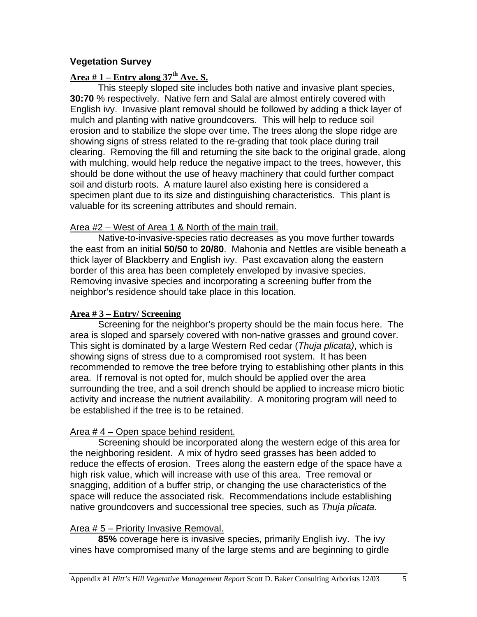#### **Vegetation Survey**

#### **Area # 1 – Entry along 37th Ave. S.**

This steeply sloped site includes both native and invasive plant species, **30:70** % respectively. Native fern and Salal are almost entirely covered with English ivy. Invasive plant removal should be followed by adding a thick layer of mulch and planting with native groundcovers. This will help to reduce soil erosion and to stabilize the slope over time. The trees along the slope ridge are showing signs of stress related to the re-grading that took place during trail clearing. Removing the fill and returning the site back to the original grade, along with mulching, would help reduce the negative impact to the trees, however, this should be done without the use of heavy machinery that could further compact soil and disturb roots. A mature laurel also existing here is considered a specimen plant due to its size and distinguishing characteristics. This plant is valuable for its screening attributes and should remain.

#### Area #2 – West of Area 1 & North of the main trail.

 Native-to-invasive-species ratio decreases as you move further towards the east from an initial **50/50** to **20/80**. Mahonia and Nettles are visible beneath a thick layer of Blackberry and English ivy. Past excavation along the eastern border of this area has been completely enveloped by invasive species. Removing invasive species and incorporating a screening buffer from the neighbor's residence should take place in this location.

#### **Area # 3 – Entry/ Screening**

 Screening for the neighbor's property should be the main focus here. The area is sloped and sparsely covered with non-native grasses and ground cover. This sight is dominated by a large Western Red cedar (*Thuja plicata)*, which is showing signs of stress due to a compromised root system. It has been recommended to remove the tree before trying to establishing other plants in this area. If removal is not opted for, mulch should be applied over the area surrounding the tree, and a soil drench should be applied to increase micro biotic activity and increase the nutrient availability. A monitoring program will need to be established if the tree is to be retained.

#### Area # 4 – Open space behind resident.

 Screening should be incorporated along the western edge of this area for the neighboring resident. A mix of hydro seed grasses has been added to reduce the effects of erosion. Trees along the eastern edge of the space have a high risk value, which will increase with use of this area. Tree removal or snagging, addition of a buffer strip, or changing the use characteristics of the space will reduce the associated risk. Recommendations include establishing native groundcovers and successional tree species, such as *Thuja plicata*.

#### Area # 5 – Priority Invasive Removal.

**85%** coverage here is invasive species, primarily English ivy. The ivy vines have compromised many of the large stems and are beginning to girdle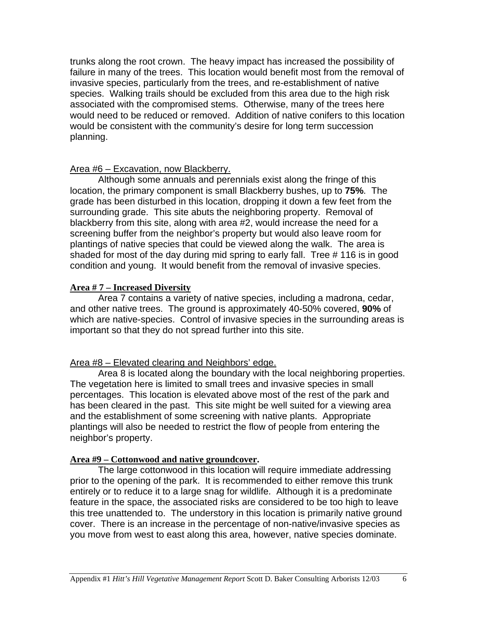trunks along the root crown. The heavy impact has increased the possibility of failure in many of the trees. This location would benefit most from the removal of invasive species, particularly from the trees, and re-establishment of native species. Walking trails should be excluded from this area due to the high risk associated with the compromised stems. Otherwise, many of the trees here would need to be reduced or removed. Addition of native conifers to this location would be consistent with the community's desire for long term succession planning.

#### Area #6 – Excavation, now Blackberry.

 Although some annuals and perennials exist along the fringe of this location, the primary component is small Blackberry bushes, up to **75%**. The grade has been disturbed in this location, dropping it down a few feet from the surrounding grade. This site abuts the neighboring property. Removal of blackberry from this site, along with area #2, would increase the need for a screening buffer from the neighbor's property but would also leave room for plantings of native species that could be viewed along the walk. The area is shaded for most of the day during mid spring to early fall. Tree # 116 is in good condition and young. It would benefit from the removal of invasive species.

#### **Area # 7 – Increased Diversity**

 Area 7 contains a variety of native species, including a madrona, cedar, and other native trees. The ground is approximately 40-50% covered, **90%** of which are native-species. Control of invasive species in the surrounding areas is important so that they do not spread further into this site.

#### Area #8 – Elevated clearing and Neighbors' edge.

 Area 8 is located along the boundary with the local neighboring properties. The vegetation here is limited to small trees and invasive species in small percentages. This location is elevated above most of the rest of the park and has been cleared in the past. This site might be well suited for a viewing area and the establishment of some screening with native plants. Appropriate plantings will also be needed to restrict the flow of people from entering the neighbor's property.

#### **Area #9 – Cottonwood and native groundcover.**

 The large cottonwood in this location will require immediate addressing prior to the opening of the park. It is recommended to either remove this trunk entirely or to reduce it to a large snag for wildlife. Although it is a predominate feature in the space, the associated risks are considered to be too high to leave this tree unattended to. The understory in this location is primarily native ground cover. There is an increase in the percentage of non-native/invasive species as you move from west to east along this area, however, native species dominate.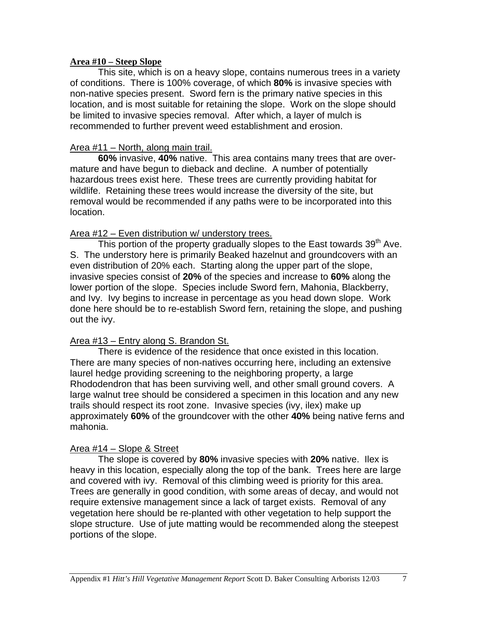#### **Area #10 – Steep Slope**

 This site, which is on a heavy slope, contains numerous trees in a variety of conditions. There is 100% coverage, of which **80%** is invasive species with non-native species present. Sword fern is the primary native species in this location, and is most suitable for retaining the slope. Work on the slope should be limited to invasive species removal. After which, a layer of mulch is recommended to further prevent weed establishment and erosion.

#### Area #11 – North, along main trail.

**60%** invasive, **40%** native. This area contains many trees that are overmature and have begun to dieback and decline. A number of potentially hazardous trees exist here. These trees are currently providing habitat for wildlife. Retaining these trees would increase the diversity of the site, but removal would be recommended if any paths were to be incorporated into this location.

#### Area #12 – Even distribution w/ understory trees.

This portion of the property gradually slopes to the East towards  $39<sup>th</sup>$  Ave. S. The understory here is primarily Beaked hazelnut and groundcovers with an even distribution of 20% each. Starting along the upper part of the slope, invasive species consist of **20%** of the species and increase to **60%** along the lower portion of the slope. Species include Sword fern, Mahonia, Blackberry, and Ivy. Ivy begins to increase in percentage as you head down slope. Work done here should be to re-establish Sword fern, retaining the slope, and pushing out the ivy.

#### Area #13 – Entry along S. Brandon St.

 There is evidence of the residence that once existed in this location. There are many species of non-natives occurring here, including an extensive laurel hedge providing screening to the neighboring property, a large Rhododendron that has been surviving well, and other small ground covers. A large walnut tree should be considered a specimen in this location and any new trails should respect its root zone. Invasive species (ivy, ilex) make up approximately **60%** of the groundcover with the other **40%** being native ferns and mahonia.

#### Area #14 – Slope & Street

 The slope is covered by **80%** invasive species with **20%** native. Ilex is heavy in this location, especially along the top of the bank. Trees here are large and covered with ivy. Removal of this climbing weed is priority for this area. Trees are generally in good condition, with some areas of decay, and would not require extensive management since a lack of target exists. Removal of any vegetation here should be re-planted with other vegetation to help support the slope structure. Use of jute matting would be recommended along the steepest portions of the slope.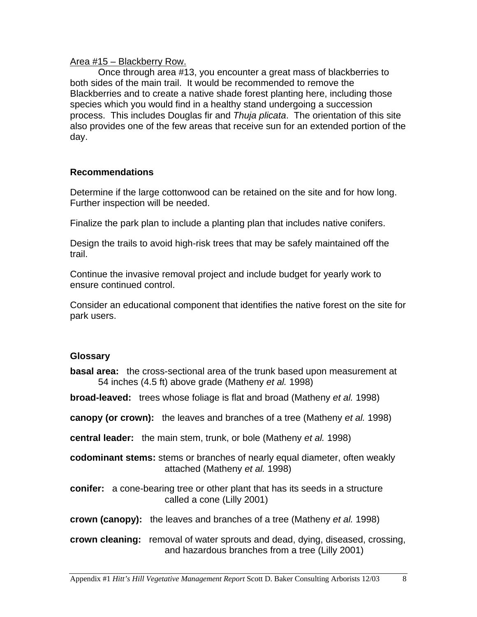#### Area #15 – Blackberry Row.

 Once through area #13, you encounter a great mass of blackberries to both sides of the main trail. It would be recommended to remove the Blackberries and to create a native shade forest planting here, including those species which you would find in a healthy stand undergoing a succession process. This includes Douglas fir and *Thuja plicata*. The orientation of this site also provides one of the few areas that receive sun for an extended portion of the day.

#### **Recommendations**

Determine if the large cottonwood can be retained on the site and for how long. Further inspection will be needed.

Finalize the park plan to include a planting plan that includes native conifers.

Design the trails to avoid high-risk trees that may be safely maintained off the trail.

Continue the invasive removal project and include budget for yearly work to ensure continued control.

Consider an educational component that identifies the native forest on the site for park users.

#### **Glossary**

**basal area:** the cross-sectional area of the trunk based upon measurement at 54 inches (4.5 ft) above grade (Matheny *et al.* 1998)

**broad-leaved:** trees whose foliage is flat and broad (Matheny *et al.* 1998)

- **canopy (or crown):** the leaves and branches of a tree (Matheny *et al.* 1998)
- **central leader:** the main stem, trunk, or bole (Matheny *et al.* 1998)
- **codominant stems:** stems or branches of nearly equal diameter, often weakly attached (Matheny *et al.* 1998)
- **conifer:** a cone-bearing tree or other plant that has its seeds in a structure called a cone (Lilly 2001)
- **crown (canopy):** the leaves and branches of a tree (Matheny *et al.* 1998)

**crown cleaning:** removal of water sprouts and dead, dying, diseased, crossing, and hazardous branches from a tree (Lilly 2001)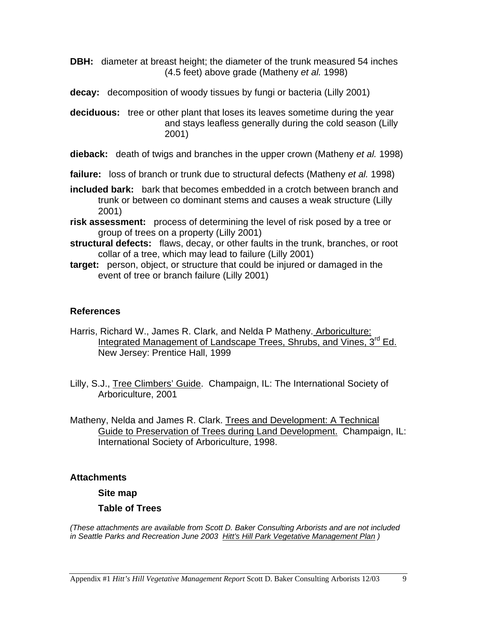**DBH:** diameter at breast height; the diameter of the trunk measured 54 inches (4.5 feet) above grade (Matheny *et al.* 1998)

**decay:** decomposition of woody tissues by fungi or bacteria (Lilly 2001)

**deciduous:** tree or other plant that loses its leaves sometime during the year and stays leafless generally during the cold season (Lilly 2001)

**dieback:** death of twigs and branches in the upper crown (Matheny *et al.* 1998)

**failure:** loss of branch or trunk due to structural defects (Matheny *et al.* 1998)

- **included bark:** bark that becomes embedded in a crotch between branch and trunk or between co dominant stems and causes a weak structure (Lilly 2001)
- **risk assessment:** process of determining the level of risk posed by a tree or group of trees on a property (Lilly 2001)
- **structural defects:** flaws, decay, or other faults in the trunk, branches, or root collar of a tree, which may lead to failure (Lilly 2001)
- **target:** person, object, or structure that could be injured or damaged in the event of tree or branch failure (Lilly 2001)

#### **References**

- Harris, Richard W., James R. Clark, and Nelda P Matheny. Arboriculture: Integrated Management of Landscape Trees, Shrubs, and Vines, 3<sup>rd</sup> Ed. New Jersey: Prentice Hall, 1999
- Lilly, S.J., Tree Climbers' Guide. Champaign, IL: The International Society of Arboriculture, 2001
- Matheny, Nelda and James R. Clark. Trees and Development: A Technical Guide to Preservation of Trees during Land Development. Champaign, IL: International Society of Arboriculture, 1998.

#### **Attachments**

 **Site map** 

#### **Table of Trees**

*(These attachments are available from Scott D. Baker Consulting Arborists and are not included in Seattle Parks and Recreation June 2003 Hitt's Hill Park Vegetative Management Plan )*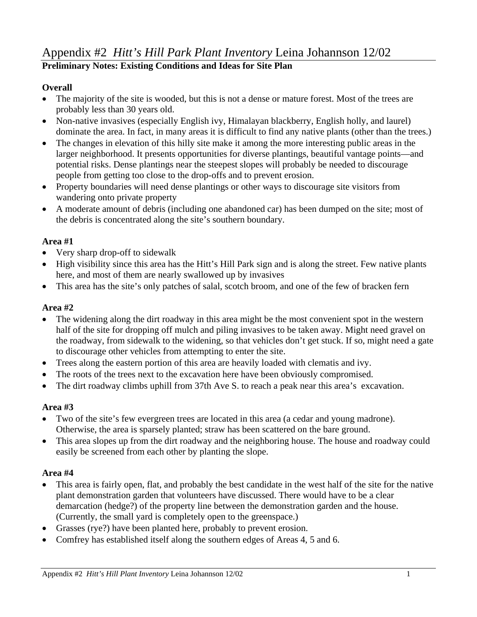#### Appendix #2 *Hitt's Hill Park Plant Inventory* Leina Johannson 12/02 **Preliminary Notes: Existing Conditions and Ideas for Site Plan**

#### **Overall**

- The majority of the site is wooded, but this is not a dense or mature forest. Most of the trees are probably less than 30 years old.
- Non-native invasives (especially English ivy, Himalayan blackberry, English holly, and laurel) dominate the area. In fact, in many areas it is difficult to find any native plants (other than the trees.)
- The changes in elevation of this hilly site make it among the more interesting public areas in the larger neighborhood. It presents opportunities for diverse plantings, beautiful vantage points—and potential risks. Dense plantings near the steepest slopes will probably be needed to discourage people from getting too close to the drop-offs and to prevent erosion.
- Property boundaries will need dense plantings or other ways to discourage site visitors from wandering onto private property
- A moderate amount of debris (including one abandoned car) has been dumped on the site; most of the debris is concentrated along the site's southern boundary.

#### **Area #1**

- Very sharp drop-off to sidewalk
- High visibility since this area has the Hitt's Hill Park sign and is along the street. Few native plants here, and most of them are nearly swallowed up by invasives
- This area has the site's only patches of salal, scotch broom, and one of the few of bracken fern

#### **Area #2**

- The widening along the dirt roadway in this area might be the most convenient spot in the western half of the site for dropping off mulch and piling invasives to be taken away. Might need gravel on the roadway, from sidewalk to the widening, so that vehicles don't get stuck. If so, might need a gate to discourage other vehicles from attempting to enter the site.
- Trees along the eastern portion of this area are heavily loaded with clematis and ivy.
- The roots of the trees next to the excavation here have been obviously compromised.
- The dirt roadway climbs uphill from 37th Ave S, to reach a peak near this area's excavation.

#### **Area #3**

- Two of the site's few evergreen trees are located in this area (a cedar and young madrone). Otherwise, the area is sparsely planted; straw has been scattered on the bare ground.
- This area slopes up from the dirt roadway and the neighboring house. The house and roadway could easily be screened from each other by planting the slope.

#### **Area #4**

- This area is fairly open, flat, and probably the best candidate in the west half of the site for the native plant demonstration garden that volunteers have discussed. There would have to be a clear demarcation (hedge?) of the property line between the demonstration garden and the house. (Currently, the small yard is completely open to the greenspace.)
- Grasses (rye?) have been planted here, probably to prevent erosion.
- Comfrey has established itself along the southern edges of Areas 4, 5 and 6.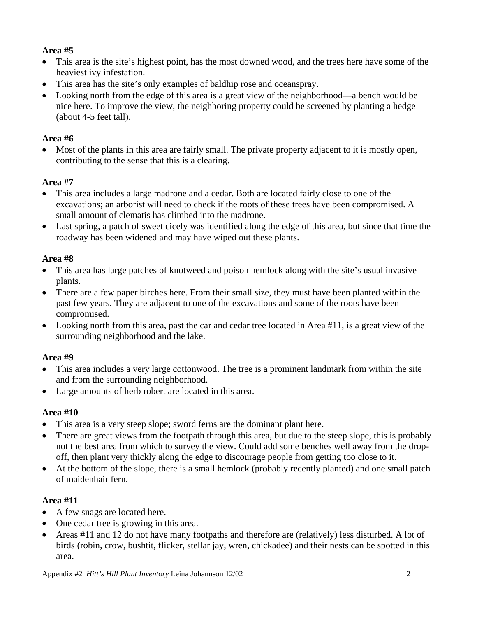#### **Area #5**

- This area is the site's highest point, has the most downed wood, and the trees here have some of the heaviest ivy infestation.
- This area has the site's only examples of baldhip rose and oceanspray.
- Looking north from the edge of this area is a great view of the neighborhood—a bench would be nice here. To improve the view, the neighboring property could be screened by planting a hedge (about 4-5 feet tall).

#### **Area #6**

Most of the plants in this area are fairly small. The private property adjacent to it is mostly open, contributing to the sense that this is a clearing.

#### **Area #7**

- This area includes a large madrone and a cedar. Both are located fairly close to one of the excavations; an arborist will need to check if the roots of these trees have been compromised. A small amount of clematis has climbed into the madrone.
- Last spring, a patch of sweet cicely was identified along the edge of this area, but since that time the roadway has been widened and may have wiped out these plants.

#### **Area #8**

- This area has large patches of knotweed and poison hemlock along with the site's usual invasive plants.
- There are a few paper birches here. From their small size, they must have been planted within the past few years. They are adjacent to one of the excavations and some of the roots have been compromised.
- Looking north from this area, past the car and cedar tree located in Area #11, is a great view of the surrounding neighborhood and the lake.

#### **Area #9**

- This area includes a very large cottonwood. The tree is a prominent landmark from within the site and from the surrounding neighborhood.
- Large amounts of herb robert are located in this area.

#### **Area #10**

- This area is a very steep slope; sword ferns are the dominant plant here.
- There are great views from the footpath through this area, but due to the steep slope, this is probably not the best area from which to survey the view. Could add some benches well away from the dropoff, then plant very thickly along the edge to discourage people from getting too close to it.
- At the bottom of the slope, there is a small hemlock (probably recently planted) and one small patch of maidenhair fern.

#### **Area #11**

- A few snags are located here.
- One cedar tree is growing in this area.
- Areas #11 and 12 do not have many footpaths and therefore are (relatively) less disturbed. A lot of birds (robin, crow, bushtit, flicker, stellar jay, wren, chickadee) and their nests can be spotted in this area.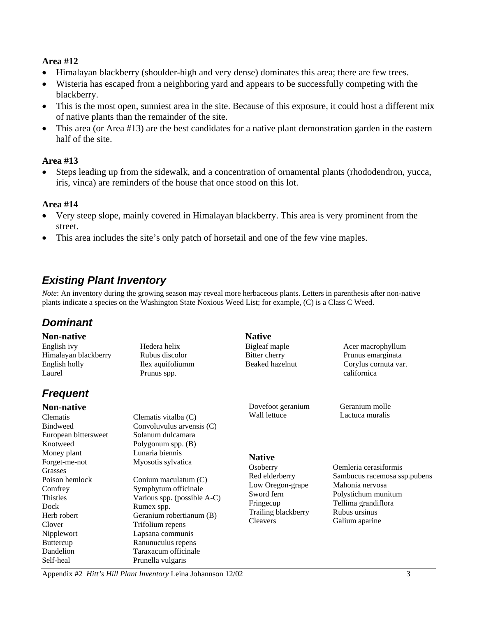#### **Area #12**

- Himalayan blackberry (shoulder-high and very dense) dominates this area; there are few trees.
- Wisteria has escaped from a neighboring yard and appears to be successfully competing with the blackberry.
- This is the most open, sunniest area in the site. Because of this exposure, it could host a different mix of native plants than the remainder of the site.
- This area (or Area #13) are the best candidates for a native plant demonstration garden in the eastern half of the site.

#### **Area #13**

• Steps leading up from the sidewalk, and a concentration of ornamental plants (rhododendron, yucca, iris, vinca) are reminders of the house that once stood on this lot.

#### **Area #14**

- Very steep slope, mainly covered in Himalayan blackberry. This area is very prominent from the street.
- This area includes the site's only patch of horsetail and one of the few vine maples.

#### *Existing Plant Inventory*

*Note*: An inventory during the growing season may reveal more herbaceous plants. Letters in parenthesis after non-native plants indicate a species on the Washington State Noxious Weed List; for example, (C) is a Class C Weed.

#### *Dominant*

| <b>Non-native</b>    |                             | <b>Native</b>       |                              |
|----------------------|-----------------------------|---------------------|------------------------------|
| English ivy          | Hedera helix                | Bigleaf maple       | Acer macrophyllum            |
| Himalayan blackberry | Rubus discolor              | Bitter cherry       | Prunus emarginata            |
| English holly        | Ilex aquifoliumm            | Beaked hazelnut     | Corylus cornuta var.         |
| Laurel               | Prunus spp.                 |                     | californica                  |
| <b>Frequent</b>      |                             |                     |                              |
| <b>Non-native</b>    |                             | Dovefoot geranium   | Geranium molle               |
| Clematis             | Clematis vitalba (C)        | Wall lettuce        | Lactuca muralis              |
| <b>Bindweed</b>      | Convoluvulus arvensis (C)   |                     |                              |
| European bittersweet | Solanum dulcamara           |                     |                              |
| Knotweed             | Polygonum spp. $(B)$        |                     |                              |
| Money plant          | Lunaria biennis             | <b>Native</b>       |                              |
| Forget-me-not        | Myosotis sylvatica          |                     |                              |
| Grasses              |                             | Osoberry            | Oemleria cerasiformis        |
| Poison hemlock       | Conium maculatum (C)        | Red elderberry      | Sambucus racemosa ssp.pubens |
| Comfrey              | Symphytum officinale        | Low Oregon-grape    | Mahonia nervosa              |
| Thistles             | Various spp. (possible A-C) | Sword fern          | Polystichum munitum          |
| Dock                 | Rumex spp.                  | Fringecup           | Tellima grandiflora          |
| Herb robert          | Geranium robertianum (B)    | Trailing blackberry | Rubus ursinus                |
| Clover               | Trifolium repens            | <b>Cleavers</b>     | Galium aparine               |
| Nipplewort           | Lapsana communis            |                     |                              |
| <b>Buttercup</b>     | Ranunuculus repens          |                     |                              |

Dandelion Taraxacum officinale Self-heal Prunella vulgaris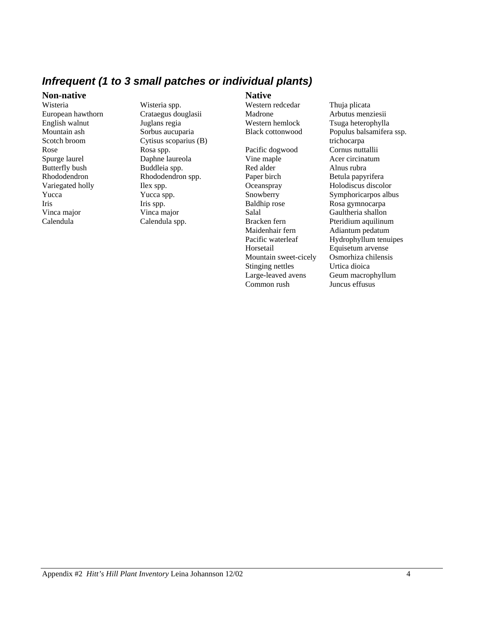#### *Infrequent (1 to 3 small patches or individual plants)*

#### **Non-native**

Wisteria Wisteria spp. English walnut Juglans regia Mountain ash Sorbus aucuparia Rose Rosa spp. Spurge laurel Daphne laureola Butterfly bush Buddleia spp. Variegated holly Ilex spp. Yucca Yucca spp. Iris Iris spp. Vinca major Vinca major

European hawthorn Crataegus douglasii Scotch broom Cytisus scoparius (B) Rhododendron Rhododendron spp. Calendula Calendula spp.

**Native**  Western redcedar Thuja plicata Madrone Arbutus menziesii

Pacific dogwood Cornus nuttallii Vine maple **Acer** circinatum Red alder **Alnus** rubra Paper birch Betula papyrifera Oceanspray Holodiscus discolor Snowberry Symphoricarpos albus Baldhip rose Rosa gymnocarpa Salal Gaultheria shallon Bracken fern Pteridium aquilinum Maidenhair fern Adiantum pedatum Horsetail Equisetum arvense<br>Mountain sweet-cicely Osmorhiza chilensis Mountain sweet-cicely Stinging nettles<br>
Large-leaved avens<br>
Geum macron Common rush Juncus effusus

Western hemlock Tsuga heterophylla Black cottonwood Populus balsamifera ssp. trichocarpa Pacific waterleaf Hydrophyllum tenuipes Geum macrophyllum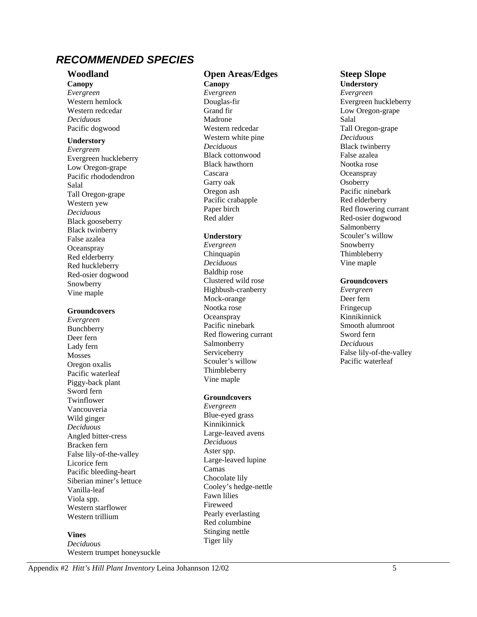#### *RECOMMENDED SPECIES*

#### **Woodland**

**Canopy**  *Evergreen*  Western hemlock Western redcedar *Deciduous*  Pacific dogwood

#### **Understory**

*Evergreen*  Evergreen huckleberry Low Oregon-grape Pacific rhododendron Salal Tall Oregon-grape Western yew *Deciduous*  Black gooseberry Black twinberry False azalea **Oceanspray** Red elderberry Red huckleberry Red-osier dogwood Snowberry Vine maple

#### **Groundcovers**

*Evergreen*  Bunchberry Deer fern Lady fern Mosses Oregon oxalis Pacific waterleaf Piggy-back plant Sword fern Twinflower Vancouveria Wild ginger *Deciduous*  Angled bitter-cress Bracken fern False lily-of-the-valley Licorice fern Pacific bleeding-heart Siberian miner's lettuce Vanilla-leaf Viola spp. Western starflower Western trillium

#### **Vines**

*Deciduous*  Western trumpet honeysuckle

#### **Open Areas/Edges**

**Canopy**  *Evergreen*  Douglas-fir Grand fir Madrone Western redcedar Western white pine *Deciduous*  Black cottonwood Black hawthorn Cascara Garry oak Oregon ash Pacific crabapple Paper birch Red alder

#### **Understory**

*Evergreen*  Chinquapin *Deciduous*  Baldhip rose Clustered wild rose Highbush-cranberry Mock-orange Nootka rose **Oceanspray** Pacific ninebark Red flowering currant Salmonberry Serviceberry Scouler's willow Thimbleberry Vine maple

#### **Groundcovers**

*Evergreen*  Blue-eyed grass Kinnikinnick Large-leaved avens *Deciduous*  Aster spp. Large-leaved lupine Camas Chocolate lily Cooley's hedge-nettle Fawn lilies Fireweed Pearly everlasting Red columbine Stinging nettle Tiger lily

#### **Steep Slope**

**Understory**  *Evergreen*  Evergreen huckleberry Low Oregon-grape Salal Tall Oregon-grape *Deciduous*  Black twinberry False azalea Nootka rose **Oceanspray Osoberry** Pacific ninebark Red elderberry Red flowering currant Red-osier dogwood Salmonberry Scouler's willow Snowberry Thimbleberry Vine maple

#### **Groundcovers**

*Evergreen*  Deer fern Fringecup Kinnikinnick Smooth alumroot Sword fern *Deciduous*  False lily-of-the-valley Pacific waterleaf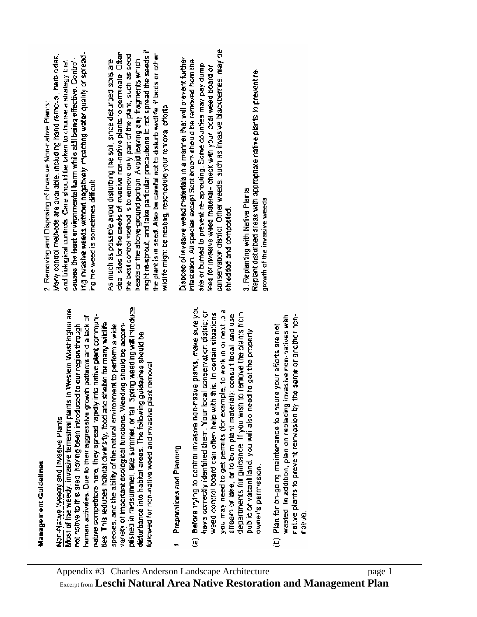## Management Guidelines

# Non-Natwe Weedy and Invasive Plants

pished in mosummer. Iate summer, or fall. Spring weeding will introduce Most of the weedy, invasive terrestrial plants in Western Washington are native competitions hare, they spread rapidly into native plant communihuman activries. Due to their aggressive growth patterns and a lack of ties. This reduces habitat diversity, food and shelter for many wildlife. nguant maigen has the people intent peep pares and our peoplen through variety of important acological functions. Weeding should be accomspecies, and the ability of the ratural environment to perform a wide disturbance into habital areas. The following guide ines should be lavomed for non-native weed and snyasive plant removal

- Preparations and Planning
- (a) Before thing to control investive non-rative plants, make sure you you may need to get permits (for example, to work in or next to a have correctly identified them. Your local conservation district or weed control board can often help with this. In certain situations departments for gaidance. If you wish to remove the plants from stream or lake, or to burn plant materialy; consult local land use public or vacant land, you will also need to get the properly owner's permission.
- wasted. In addition, plan on replacing invasive non-natives with rative plants to prevent reinvosion by the same or anathor non-Plan for on-going maintenance to ensure your efforts are not ratva. ē

-pearles to kinenb ætem butpedu. Mexipebeu proutive speem avisenti Eur Many control methods are available, including hand removal, herbiodes, causes the least environmental harm while stal being effective. Controland biological controls. Care should be taken to choose a strategy that 2 Removing and Disposing of Invasive Non-native Plants: ing the weed is sometimes difficult

myght re-sprout, and take particular precaubons to not spread the seeds if deal sites for the seeds of massive non-native plants to germinate. Often the plant is in seed. Also be careful not to disturb widdlife if birds or other the best control mothod is to remove anly part of the plant, such as seed As much as possible avoid disturbing the soil, ance disturbed soils are heads or the sbove-ground portion. Avoid leaving any fragments which wild fe might be nesting, reschedule your removal efforts

conservation district. Other weeds, such as invasive blackbernes, may be Dispose of invasive weed materials in a manner that will prevent further infestation. All species except Sont broom should be removed from the site or bumed to prevent re-sprouting. Some counties may pay dump kes for investve weed material- check with your local weed board or shredded and composied.

Replant deturbed areas with appropriate native plants to prevent re-3. Replanting with Native Plants growth of the invasive weeds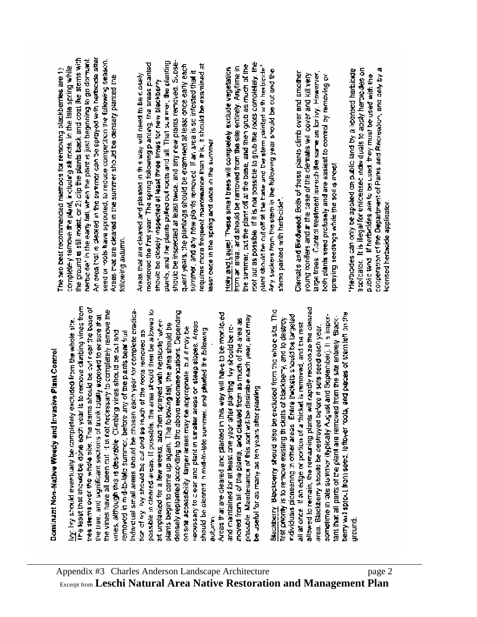# **Dominant Non-Native Weedy and Invasive Plant Control**

The least that should be done coch year is to remove climbing vines from ines stems over the whole site. The stems should be out near the base of the vines have all been cut it is not necessary to completely remove the indrividual small areas should be chosen each year for complete pradicapossible in cleared areas. If possible, the area should then be a bwad to densely replanted according to the above recommendations. Depending he tree, and significant sections of trunk totally exposed to erisure that with should eventually be completely excluded from the whole site. sit unplanded for a few weeks, and then sprayed with herblooks when recessary to deem and plantin smaller areas on steep slopes. Areas plants begin to come up again. The following fall, the area should be on sine accessibility, target exeas may be appropriate buildingly be should be cleared in mid-it-late surrimer, and planted the following for of by lify should be out and as intain of the roots removed as vides, although this is desirable. Climbing vines should be cut and removed in mid-to-left summer, before any of the plants been fruit Butum,

Arcas that are cleared and planted in this way will have to be monificied possible. Marchenance of this sort wit be desirable each year, and may moved from all of the plants, and cleared from as much of the area as and maintained for at least one year after planting itry should be rebehavior as many as renyears after paning

ollowed to remain, the remaining plants will rapidly recodonze the oleared Blackberry: Blackberry should also be excluded from the whole site. The beiny was sprout from seed, leftbyer roots, and preces of stem left on the persisting biomeeting in other areas Entire tarticularly to the periodic sometime in tate summor (typically August and Soptember). It is imporlant that all parts of the plant are removed from the site entirely. Blackfirst priority is to remove existing thickets of blackberry, and to destroy all at once. If an edge or portion of a thicket is removed, and the rest area. Blackberry should be destroyed before it sets seed each year. uround.

An area that is dealed in the summer can be sprayed with herbicate sites. he ground is still moist, or 2) clip the plants back and coat the stems with herbig definithe early fall, when the plant is just beginning to go dormant. seed or roots have sprouted, to reduce competition the following season. completely remove the plant, including all roots, in the late spring while The two best recommended methods for removing plackberries are 1) Areas that are cleared in the summer should be densely planted the following axiumn.

plants, and the plants pulled out roots and all. That summer, the planting should be inspected at least twice, and any new plants removed. Subsemo:winred the frat year. The spring following planting, the areas planted quent years, the plantings should be examined at least once early each requires more frequent mannenance than this, it should be examined at summer, and only now plonts removed. If an area is so intested that it Areas that are cleared and planted in this way will need to be closely such pe closely inspected at least three integration blackberry east once in the spring and once in the summer

root out as possible. If it is not possible to grub the roots completely, the the summer, cut the plant off at the base, and then grub as much of the sant the cut be cut off at the base of the west of the second term in the second term from an area. and should be ramoved from the site entirely. Anytime in Holly and Laugh. These small bees will completely exclude vegetation. ary suckers from the stem in the following year should be cut and the stems painted with herbicide\*.

large trees. Control treatment is noth the same as for ivy. Howerver, Dierrat's and Bindweed: Both of these plants climb over and smother young confers and mitche case of the clematis will cover and kill very both plants seed profusely and are easiest to control by removing or spreying seedings while the soil is most

acclicator. It is illegal for unlicensed index duals to apply herpic desion cooperation of the Department of Parks and Recreation, and only by a Herbides can only be applied on public land by a licensed harbicade public tand. If herbeddes are to be used, they must be used with the iconsed herbido applicator.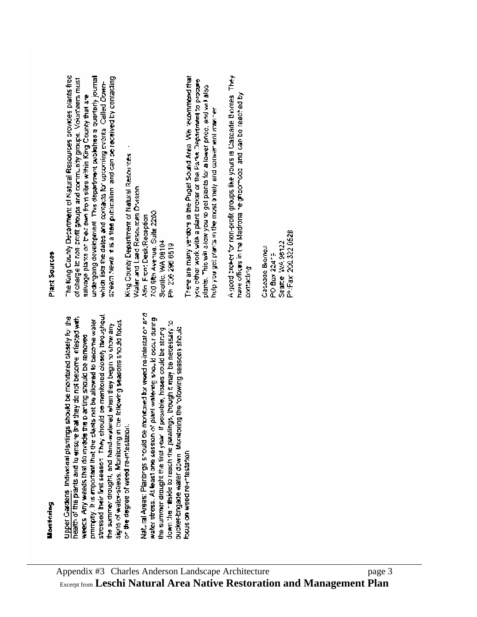stressed their first season. They should be monitored closely throughout Upper Gardens Individual plantings should be montored closely for the health of the prants and it ensure that they do not become infested with promotly. It is important that the clears not be allowed to become waler signs of water-stress. Monitoring in the following seasons should focus the summer drought, and hand-watered when they begin to show any weecs. Any weeds that do myade the playing should be removed or the degree of weed re-intestation. Natural Areas: Plantings should be monitority for weed re-infestation and water stress. At teast one session of plant watering should occur during down the natiside to reach the plantings. Inough a may be necessary to the summer drought the first year. If possible, hoses could be strung bucket brigade water down. Montaing the following seasons should focus on weed re-mestation

### Plant Sources

The King County Decartment of Natural Resources provides plants free ismugi diatemple seriation membedity sid. Theorythese group going dream News it is a tree publication, and can be received by contacting of charge to non-profit groups and community groups. Volunteers must which lists the dates and contacts for upcoming events. Called Downsalvage plants on their pien from sites within King County that are

King County Department of Natural Resources Waler and Land Resources Drisson 700 fifth Averual Suite 2200 Attn: Fircht Desk/Reception Seattle, WA 98104 Ph 206 296 6519 Prevening we read the Puget Sound Area We recompend that you other work with a plant broker or the Parks Department to procure plants. This well allow you to get plants for a lower price, and will also hold you get plants in the most binely and conver won't wanted A good broker for non-profit groups like yours is Cascade Bromes. They have offices in the Madrona neighborhood and can be reached by contacting

Ph:Fax: 206.322.0528 Seattle WA 99122 Cascage Biones PO Bax 22419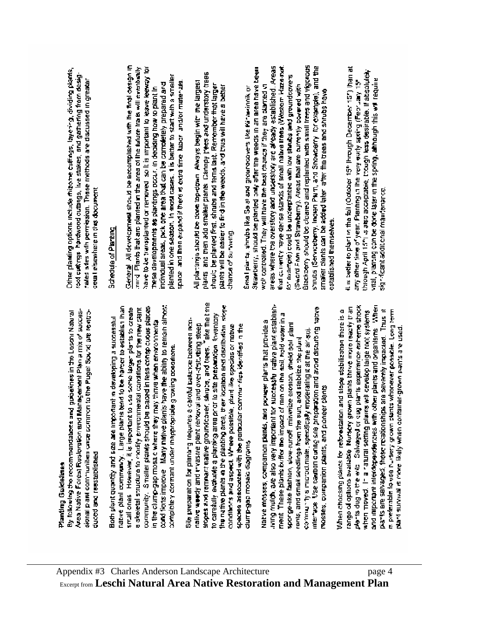## Planting Guidelines

By following the recommendaters and guidelines in the Leschi Natural Area Native Forest Rosloration and Management Plan a mix of successional plane or was taget somewhere common to the Puget Sw.vd are reviseduced and reestablished

cond fions improve. Many native plants have the ability to remoin almost native plani common the plane send to be harden or bettable in han community. Smaller planes should be paped in less crimep clopus places small ones. However, it is important to use some larger plants to create a skeletal structure to monity environmental conditions for the new stant Both plant quantity and size are important in developing a successful in the clump-gap mosale where they may thrus when environments completely dormant under inappropriately growing conditions.

stopes and rompact native groundcover, sinuto, and trees. Take the time the native plants in the planting arca, their location and distribution istope to carefully evaluate a planting area prot to site preparation inventory Sile preparation for planting requires a carotul balance between nondaere Suitanis, prisone pleur rewww.insplance.com Apertanism conditions and aspect. Where possible, plant like species or nativespeces associated with the particular communities identified in the clump-gap mosaic diagrams

iving multh, are also very important for successful native place establishevaet Buginisip plove pue uorgenand eus Suuno uppreo asni, active ment. These plants twifter the impact of rain on the soil, hold water in a Native mosses, companion plants, and picturer plants that provide a sporge-like fashion, slow-runoff minimize erosion, shield soil stant community simple continuate. specifically moderating it at the artispironts, and small seedlings from the sun, and stablize the plant mosses, companion plants, and pioneer stants

plants dug in the wko. Salvaged or dug plants experience exheme shock and important interdences with other plants and organisms. When range of options available. Nursey grown plants three more reachy tran plants are satvaged, those relationships are severity impacted. Thus it When choosing plants for reforestation and slope stabilization there is a is preferable to vasing a rown clearly whenever possible. Long term when moved. In a ratural setting plants will cevelop large root systems **Mari survival is more likely when container-grown pairs are used.** 

Differ planting options include mize tellings, layering, dividing plants, cost curings. hardwood cuttings, live stakes, and gathering from desigrales ades with permession. These methods are discussed in greater ceual elsewhere in this document

## Schedule of Planting

Genoral All development should be accomplished with the final cesign in truid. Plants that are planted in the area of the fidure traits will eventually have to be transplanted or removed so it is important to leave tee or your planted in one section, in most cases, it is better to start with a smaller space and then expand if there is extra firme labor, and/or materizes. individual areas, pick one area that can be completely prepared and hese developments as plantings source in the second properties.

plants and then add smaller plants. Cannpy hees and understory trees All plantings stocked to done top-down. Always begin with the largest shoult be planted first, shrubs and tems last. Remember that larger plants will be easier to fird in the weeds, and thus will have a better chance of surving.

Blackberry should be cloared and replanted with small frees and vigorous energ Tourising to the term of the term of the contract or an energy seams shubs (Serviceberg, Inden Part, and Showberry, for example), and the that converty have dense stands of small native trees (Western Haze-rot, Strawberry, should be planted only after the weeds in an area have been compliment point and the underplanted with low strategies and groundcove is well controlled. They will have the best change if they are clanted in Seerol From and Strawberry). Areas that are currently covered with Small plants, shrubs like Salah groundcovers like Marvinnik, or smaker blants can be added later after the bees and strubs have cstablished themselves. it is better to plant in the fail (October 15" lintough December 15") than at though April 15m is also acceptable, though less desirable. If absolutely vital, piecing con be done tates in the spring, athough this will require any other line of year. Planting in the very early spring (Feorusy 15 significant additional mauritmance.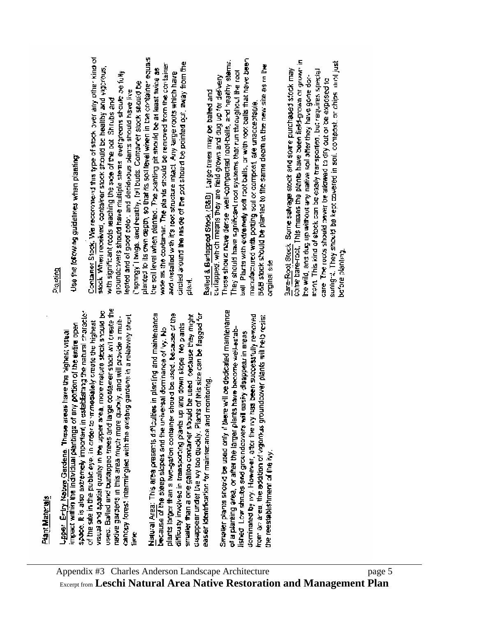## Plant Materials

used. Bailed and buildapped frees and large contamer stock will traate the wsual and spatial quality in the upper area, more mature stock should be spoco. It is also extremely important in establating the natural character cancery forest intermingled with the existing gardens in a relatively short redve gardens in this area must more quickly, and will provide a multiof the site in the public eye, in order to immediately create the highest invest within the individual plantings of any portion of the entire open Upper Entry Nature Gardens. These areas have the Mighest visual firm.

Natural Area: This area presents difficulties in planting and maintenance plants larger than a two-gation container should be used. because of the deappear under the wy too quickly. Plants of this size can be flagged for smaller than a one galloo contarver should be used lowestbay might difficulty involved in transporting plants up and down slope. No plants because of the steep slopes and the universal dominance of  $\mathbf{v}_\mathrm{f}$ . No easer identification for mainter ande and monitoring. Smaller plants should be used only if there will be depicated maintenance cominated by ry: However, after the ry rass been successfully removed from actee, the addition of vigninus groundcover plants will help resist of a planting area, or after the larger plants have become well-estabesas ul readdesip Asses ava siavopurano suo sprugs monte the reestablishment of the ivy.

#### Diaming

## Use the lorowing guidelines when planting:

Container Stock. We recommend this type of stock over any other kind of planted to its own depth, so that its soll fevel when in the container equals circled around the ros de of the pot should be pointed out, away from the wee as the contarner. The plants should be removed from the container stock. When received, container stock should be healthy and vigorous, the soil level when planted. The parting pit should be at least twice as groundcovers should have multiple stems, evergrouns should be fully and installed with it's root structure intact. Any large roots which have springy I twigs, and healthy, (oil buds. Container stock should be eated and of good color, and decideous plants should have live with significant roots reaching the side of the pot. Shrubs and 医远位

ball. Placts with extremely soft root balls, or with root balls that have been These shows nave dense well-compacted root-balls, and healthy stems. B&B stock should be planted to the same depth in the new site as in the They should have s-gnificant root systems that run throughout the root culapped, which means they are feld grown and up tor delivery Balled & Burlepped Stock (B&B) : argo trees may be balled and manufactured with potting soil or compost, are unacceptable. orginal site

come bare-root. This means the plants have been field-grown or grown in sunigra. They showld be kept covered in soil, compost, or chips luini just Bare-Root Stock, Some salvage stock and some purchased stock may ment. This kind of stock can be easily transported, but requires special the wild, and dug up without any native soil after they have gone dorof pesodive action of the complete all review products sponsed to before planting.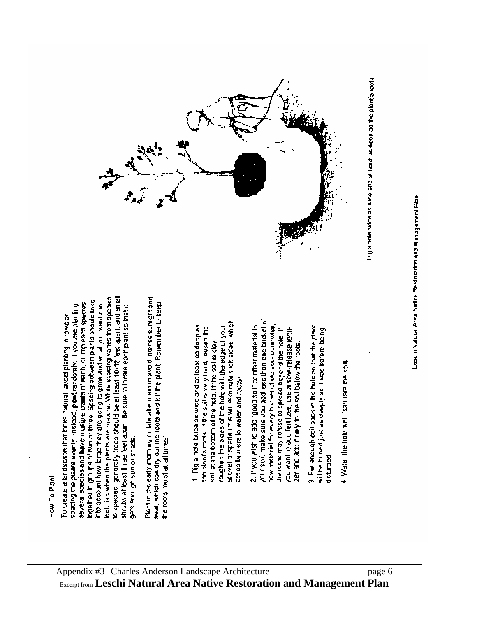

kaak like when the plants are mature. While specing varies from species to species, generally trees should be at least 10-12 lest apart, and antall bracker in groups of two or three. Spacing botween plants should bike several species and have musicle plants of each, clump each species into account how large they are going to grow and what you want a to shruts at least three feet apart. Be sure to locate each pant so that it species the planes evenly insisted, planes randomly. If you are planting Fo create a landscape that looks natural, avoid planting in rows or gets errought sum or shade. Plant in the early moming on late afternoon to avoid interse sunker: and real, which can dry out the roots and kill the plant. Remember to keep the roots moist at all bries.

shovel or spade (this will eliminate stak sides, which rougher the sides of the hole with the edge of your t. Dig a hole twice as wide and at least as doop as the plant's roots. If the soil is very hard, loosen the soil at the bottom of the hole. If the soil is clay ection has been to well and noted

your soxi, make sure you add loss than one bucket of 2. If you wist to add "good soil" or other material to new matchial for every blacket of old sort-otherwise. the rochs may refuse to spread beyond the hote. If you want to add fertilizer, use a siow-release forthcer and add it only to the soll below the roots.

3. Put encough soil back in the hold so that the plant will be bured just as deeply as it was before being disturbed

4. Water the hold woll (saturate the soll)



Digital twicks as were east as deep as the plant's roots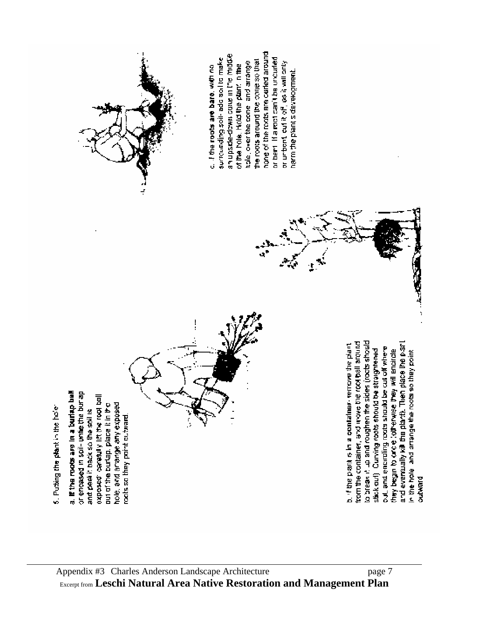hone of the roots are curled around an upside-down cove in the mode or bent. If a roct can't be uncurled surrounding soil- add soil to make the roots around the cone so that tiple, over the contel and arrange or unbont, out it off, as it will only c. If the roots are bare, with no of the hole. Hold the plant in the harm the plant's development. ł, to break it up and roughen the sides (roots should from the container, and investite root ball around and eventually kill the plant). Then place the plant b. If the plant is in a container-remove the plant out, and encircling roots should be cut off where stick auf). Curving roots should be straightened they begin to arce totherwise they will encircle in the hole, and arrange the roots so they point a. If the roots are in a burisp ball or encased in soil- unie the bur ap list hoor extractive from the cost of out of the burlap, place it in the hole, and arrange any exposed 5. Puting the plant in the hole: and peekit back so the soil is roots so they point outward. **but ward**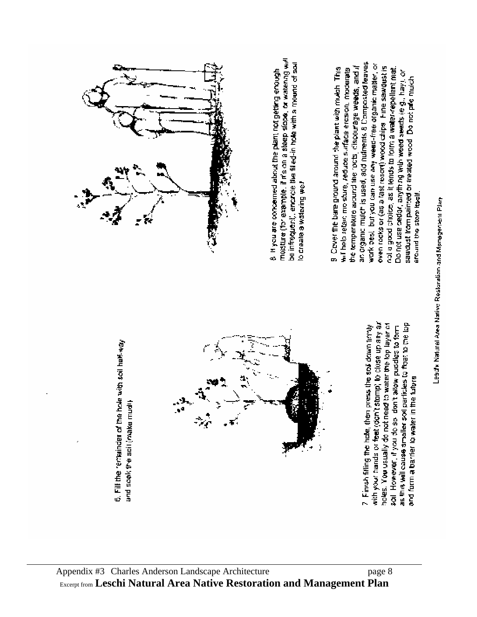

mosture (for example, if it's on a steep slope, or watering will be infrequent), encarcle the filled-in hole with a mound of soul 8. If you are concerned about the plant not getting enough lo create a watering well

ar organic multin is used, add nutrients 8 Composited leaves work best but you can use any weed-free organic matter, or oven rocks or (as a last resort) wood chips. Fine sawdust is the temperature around the rocts, discourage weeds, and if 9 Cover the bare ground around the plant with mutch. This will help retain mo sture, veduce surface erosion, moderate rol a good choice, as it tends to form a ware*r-re*pellent mat. Do not use cedar, anything with weed seeds (e.g., hay), or sawdust from painted or treated wood. Do not pre mulch around the stem itself.

> with your hands or feet (don't stomp) to close up any an as this will cause smaller soil particles to foat to the lop holes. You usually do not need to water the top layer of 7. Finish fifting the hote, then press the soll down trinty soil. However, if you do so iden't allow puddles to form and form a barrier to water in the future

6. Fill the remainder of the hole with soil half-way and scek the soil (make mudi)

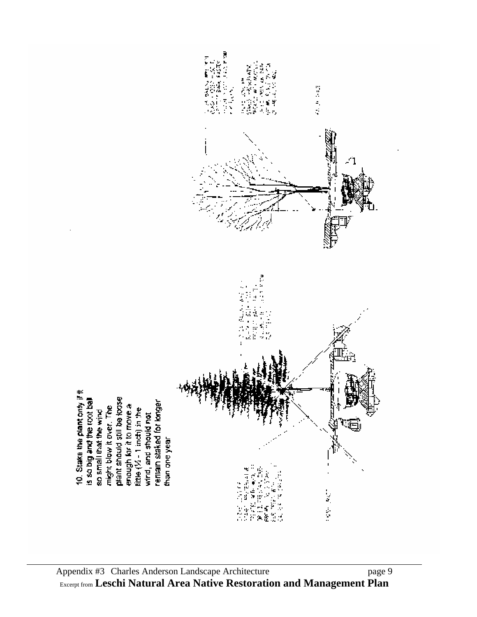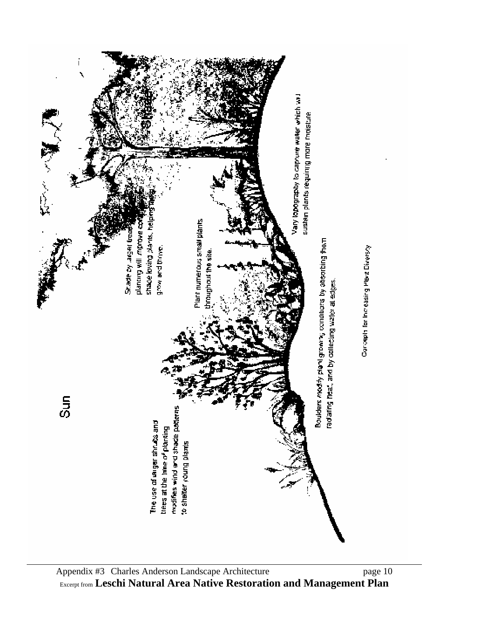